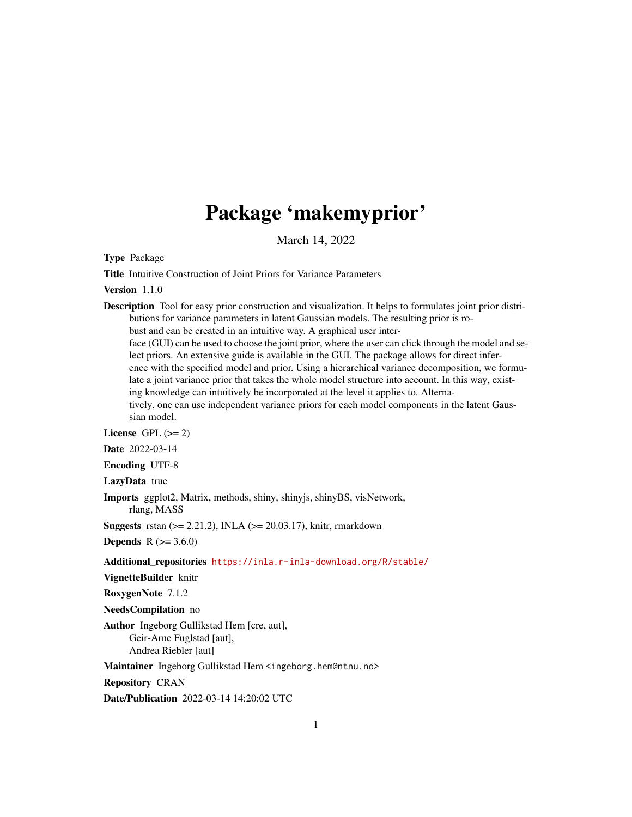# Package 'makemyprior'

March 14, 2022

<span id="page-0-0"></span>Type Package

Title Intuitive Construction of Joint Priors for Variance Parameters

Version 1.1.0

Description Tool for easy prior construction and visualization. It helps to formulates joint prior distributions for variance parameters in latent Gaussian models. The resulting prior is robust and can be created in an intuitive way. A graphical user interface (GUI) can be used to choose the joint prior, where the user can click through the model and select priors. An extensive guide is available in the GUI. The package allows for direct inference with the specified model and prior. Using a hierarchical variance decomposition, we formulate a joint variance prior that takes the whole model structure into account. In this way, existing knowledge can intuitively be incorporated at the level it applies to. Alternatively, one can use independent variance priors for each model components in the latent Gaussian model.

License GPL  $(>= 2)$ 

Date 2022-03-14

Encoding UTF-8

LazyData true

Imports ggplot2, Matrix, methods, shiny, shinyjs, shinyBS, visNetwork, rlang, MASS

**Suggests** rstan  $(>= 2.21.2)$ , INLA  $(>= 20.03.17)$ , knitr, rmarkdown

**Depends** R  $(>= 3.6.0)$ 

Additional\_repositories <https://inla.r-inla-download.org/R/stable/>

VignetteBuilder knitr

RoxygenNote 7.1.2

NeedsCompilation no

Author Ingeborg Gullikstad Hem [cre, aut], Geir-Arne Fuglstad [aut], Andrea Riebler [aut]

Maintainer Ingeborg Gullikstad Hem <ingeborg.hem@ntnu.no>

Repository CRAN

Date/Publication 2022-03-14 14:20:02 UTC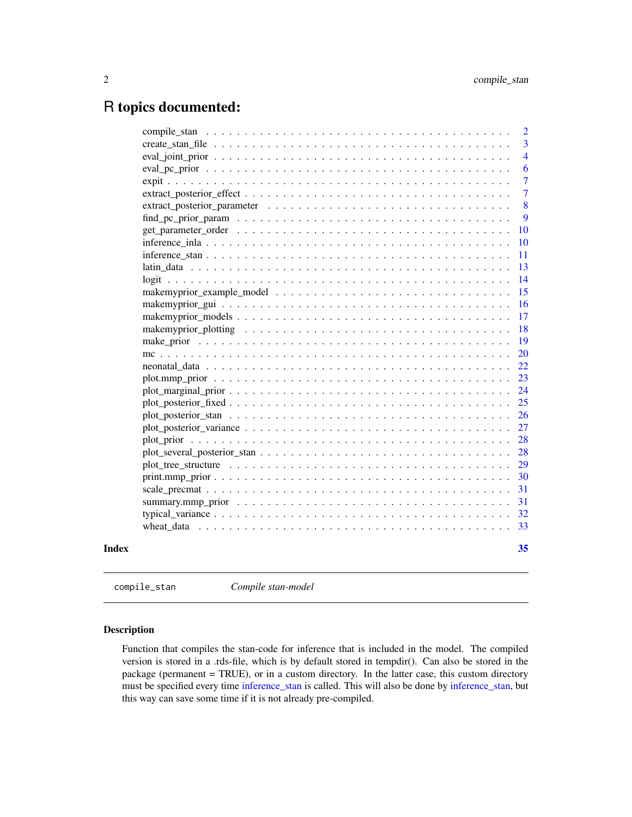# <span id="page-1-0"></span>R topics documented:

|       |                                                                                                               | $\overline{2}$ |
|-------|---------------------------------------------------------------------------------------------------------------|----------------|
|       |                                                                                                               | 3              |
|       |                                                                                                               | $\overline{4}$ |
|       |                                                                                                               | 6              |
|       |                                                                                                               | $\overline{7}$ |
|       |                                                                                                               | $\overline{7}$ |
|       |                                                                                                               | 8              |
|       |                                                                                                               | 9              |
|       |                                                                                                               | 10             |
|       |                                                                                                               | 10             |
|       |                                                                                                               | 11             |
|       |                                                                                                               | 13             |
|       |                                                                                                               | 14             |
|       |                                                                                                               | 15             |
|       |                                                                                                               | 16             |
|       |                                                                                                               | 17             |
|       |                                                                                                               | 18             |
|       |                                                                                                               | 19             |
|       |                                                                                                               | 20             |
|       |                                                                                                               | 22             |
|       |                                                                                                               | 23             |
|       |                                                                                                               | 24             |
|       |                                                                                                               | 25             |
|       |                                                                                                               | 26             |
|       |                                                                                                               | 27             |
|       |                                                                                                               | 28             |
|       |                                                                                                               | 28             |
|       |                                                                                                               | 29             |
|       |                                                                                                               | 30             |
|       |                                                                                                               | 31             |
|       | summary.mmp_prior $\dots \dots \dots \dots \dots \dots \dots \dots \dots \dots \dots \dots \dots \dots \dots$ | 31             |
|       |                                                                                                               | 32             |
|       |                                                                                                               | 33             |
| Index |                                                                                                               | 35             |
|       |                                                                                                               |                |

<span id="page-1-1"></span>compile\_stan *Compile stan-model*

# Description

Function that compiles the stan-code for inference that is included in the model. The compiled version is stored in a .rds-file, which is by default stored in tempdir(). Can also be stored in the package (permanent = TRUE), or in a custom directory. In the latter case, this custom directory must be specified every time [inference\\_stan](#page-10-1) is called. This will also be done by [inference\\_stan,](#page-10-1) but this way can save some time if it is not already pre-compiled.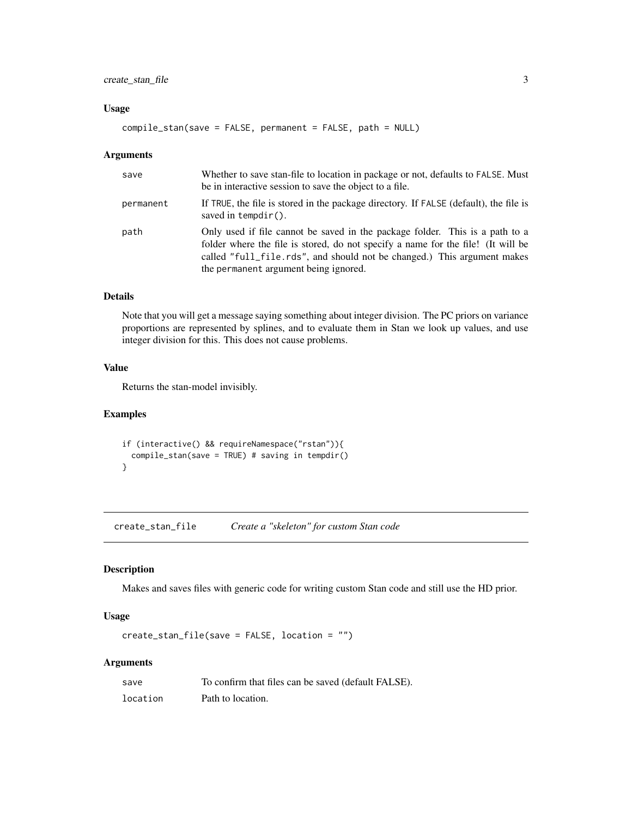#### <span id="page-2-0"></span>Usage

```
compile_stan(save = FALSE, permanent = FALSE, path = NULL)
```
#### Arguments

| save      | Whether to save stan-file to location in package or not, defaults to FALSE. Must<br>be in interactive session to save the object to a file.                                                                                                                                          |
|-----------|--------------------------------------------------------------------------------------------------------------------------------------------------------------------------------------------------------------------------------------------------------------------------------------|
| permanent | If TRUE, the file is stored in the package directory. If FALSE (default), the file is<br>saved in $tempdir()$ .                                                                                                                                                                      |
| path      | Only used if file cannot be saved in the package folder. This is a path to a<br>folder where the file is stored, do not specify a name for the file! (It will be<br>called "full_file.rds", and should not be changed.) This argument makes<br>the permanent argument being ignored. |

# Details

Note that you will get a message saying something about integer division. The PC priors on variance proportions are represented by splines, and to evaluate them in Stan we look up values, and use integer division for this. This does not cause problems.

#### Value

Returns the stan-model invisibly.

# Examples

```
if (interactive() && requireNamespace("rstan")){
 compile_stan(save = TRUE) # saving in tempdir()
}
```
create\_stan\_file *Create a "skeleton" for custom Stan code*

#### Description

Makes and saves files with generic code for writing custom Stan code and still use the HD prior.

# Usage

```
create_stan_file(save = FALSE, location = "")
```
# Arguments

| save     | To confirm that files can be saved (default FALSE). |
|----------|-----------------------------------------------------|
| location | Path to location.                                   |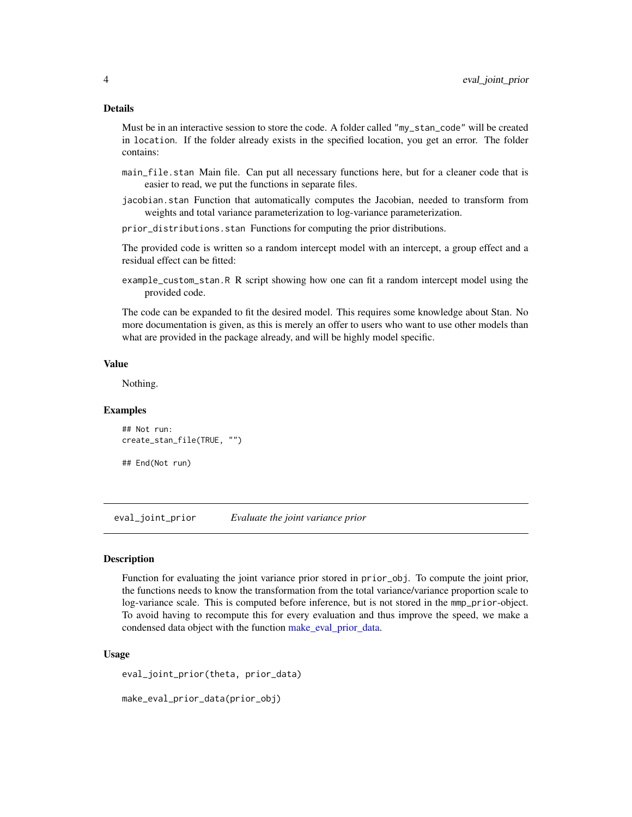#### <span id="page-3-0"></span>Details

Must be in an interactive session to store the code. A folder called "my\_stan\_code" will be created in location. If the folder already exists in the specified location, you get an error. The folder contains:

- main\_file.stan Main file. Can put all necessary functions here, but for a cleaner code that is easier to read, we put the functions in separate files.
- jacobian.stan Function that automatically computes the Jacobian, needed to transform from weights and total variance parameterization to log-variance parameterization.
- prior\_distributions.stan Functions for computing the prior distributions.

The provided code is written so a random intercept model with an intercept, a group effect and a residual effect can be fitted:

example\_custom\_stan.R R script showing how one can fit a random intercept model using the provided code.

The code can be expanded to fit the desired model. This requires some knowledge about Stan. No more documentation is given, as this is merely an offer to users who want to use other models than what are provided in the package already, and will be highly model specific.

#### Value

Nothing.

#### Examples

```
## Not run:
create_stan_file(TRUE, "")
```
## End(Not run)

<span id="page-3-2"></span>eval\_joint\_prior *Evaluate the joint variance prior*

#### <span id="page-3-1"></span>Description

Function for evaluating the joint variance prior stored in prior\_obj. To compute the joint prior, the functions needs to know the transformation from the total variance/variance proportion scale to log-variance scale. This is computed before inference, but is not stored in the mmp\_prior-object. To avoid having to recompute this for every evaluation and thus improve the speed, we make a condensed data object with the function [make\\_eval\\_prior\\_data.](#page-3-1)

#### Usage

```
eval_joint_prior(theta, prior_data)
```

```
make_eval_prior_data(prior_obj)
```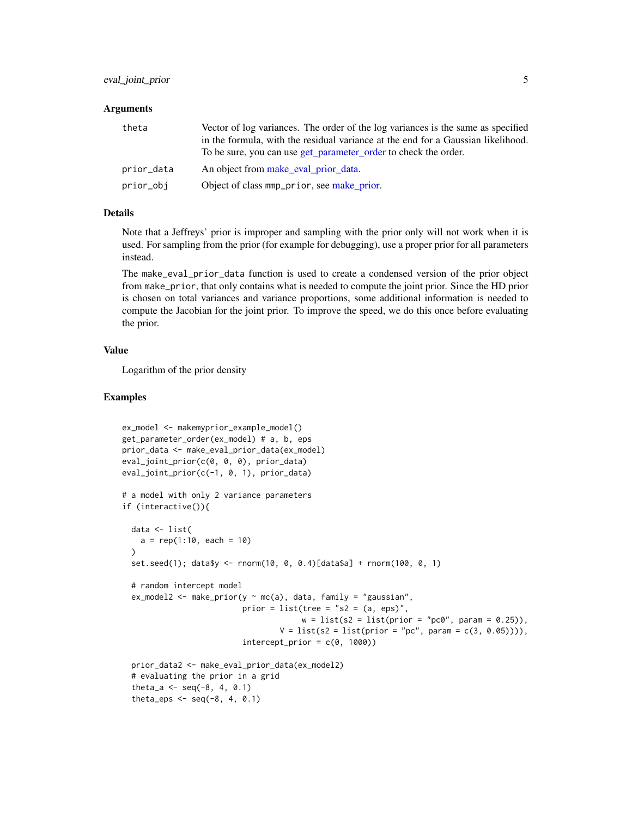# <span id="page-4-0"></span>eval\_joint\_prior 5

#### **Arguments**

| theta      | Vector of log variances. The order of the log variances is the same as specified<br>in the formula, with the residual variance at the end for a Gaussian likelihood.<br>To be sure, you can use get_parameter_order to check the order. |
|------------|-----------------------------------------------------------------------------------------------------------------------------------------------------------------------------------------------------------------------------------------|
| prior_data | An object from make_eval_prior_data.                                                                                                                                                                                                    |
| prior_obj  | Object of class mmp_prior, see make_prior.                                                                                                                                                                                              |

#### Details

Note that a Jeffreys' prior is improper and sampling with the prior only will not work when it is used. For sampling from the prior (for example for debugging), use a proper prior for all parameters instead.

The make\_eval\_prior\_data function is used to create a condensed version of the prior object from make\_prior, that only contains what is needed to compute the joint prior. Since the HD prior is chosen on total variances and variance proportions, some additional information is needed to compute the Jacobian for the joint prior. To improve the speed, we do this once before evaluating the prior.

#### Value

Logarithm of the prior density

# Examples

```
ex_model <- makemyprior_example_model()
get_parameter_order(ex_model) # a, b, eps
prior_data <- make_eval_prior_data(ex_model)
eval_joint_prior(c(0, 0, 0), prior_data)
eval_joint_prior(c(-1, 0, 1), prior_data)
# a model with only 2 variance parameters
if (interactive()){
  data <- list(
    a = rep(1:10, each = 10))
  set.seed(1); data$y <- rnorm(10, 0, 0.4)[data$a] + rnorm(100, 0, 1)
  # random intercept model
  ex_model2 <- make_prior(y \sim mc(a), data, family = "gaussian",
                          prior = list(tree = "s2 = (a, eps)",
                                       w = list(s2 = list(prior = "pc0", param = 0.25)),V = list(s2 = list(prior = "pc", param = c(3, 0.05)))),
                          intercept\_prior = c(0, 1000)prior_data2 <- make_eval_prior_data(ex_model2)
  # evaluating the prior in a grid
  theta_a <- seq(-8, 4, 0.1)theta_eps \leq seq(-8, 4, 0.1)
```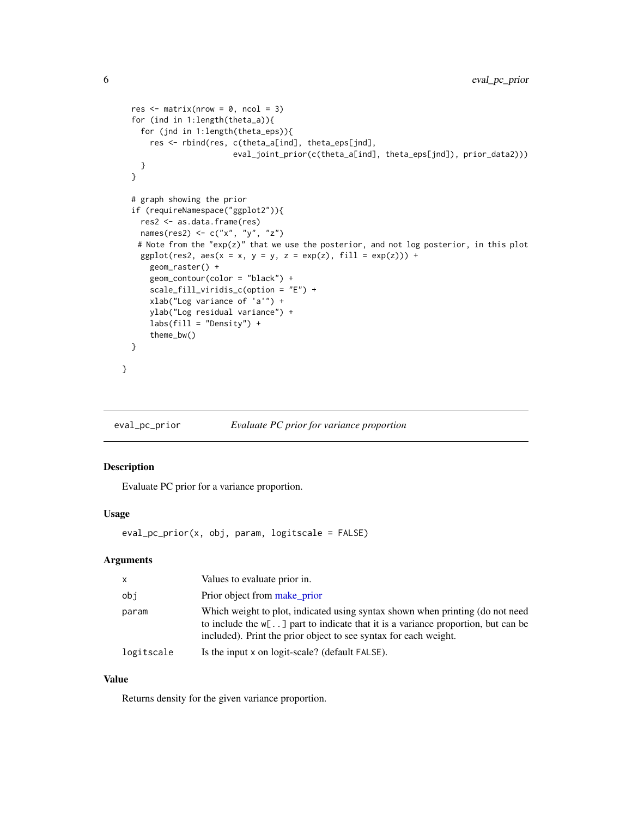```
res \leq matrix(nrow = 0, ncol = 3)
 for (ind in 1:length(theta_a)){
   for (jnd in 1:length(theta_eps)){
     res <- rbind(res, c(theta_a[ind], theta_eps[jnd],
                       eval_joint_prior(c(theta_a[ind], theta_eps[jnd]), prior_data2)))
   }
 }
 # graph showing the prior
 if (requireNamespace("ggplot2")){
   res2 <- as.data.frame(res)
   names(res2) <- c("x", "y", "z")
   # Note from the "exp(z)" that we use the posterior, and not log posterior, in this plot
   ggplot(res2, aes(x = x, y = y, z = exp(z), fill = exp(z))) +geom_raster() +
     geom_contour(color = "black") +
     scale_fill_viridis_c(option = "E") +
     xlab("Log variance of 'a'") +
     ylab("Log residual variance") +
     labs(fill = "Density") +
     theme_bw()
 }
}
```
<span id="page-5-1"></span>eval\_pc\_prior *Evaluate PC prior for variance proportion*

#### Description

Evaluate PC prior for a variance proportion.

#### Usage

eval\_pc\_prior(x, obj, param, logitscale = FALSE)

#### **Arguments**

| $\mathsf{x}$ | Values to evaluate prior in.                                                                                                                                                                                                                  |
|--------------|-----------------------------------------------------------------------------------------------------------------------------------------------------------------------------------------------------------------------------------------------|
| obi          | Prior object from make prior                                                                                                                                                                                                                  |
| param        | Which weight to plot, indicated using syntax shown when printing (do not need<br>to include the $w[\ldots]$ part to indicate that it is a variance proportion, but can be<br>included). Print the prior object to see syntax for each weight. |
| logitscale   | Is the input x on logit-scale? (default FALSE).                                                                                                                                                                                               |

# Value

Returns density for the given variance proportion.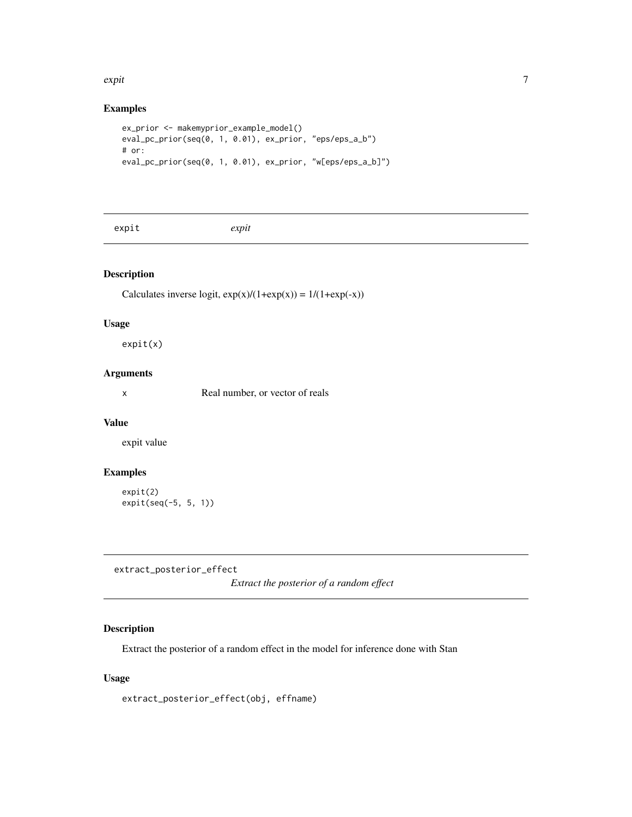#### <span id="page-6-0"></span>expit 7

# Examples

```
ex_prior <- makemyprior_example_model()
eval_pc_prior(seq(0, 1, 0.01), ex_prior, "eps/eps_a_b")
# or:
eval_pc_prior(seq(0, 1, 0.01), ex_prior, "w[eps/eps_a_b]")
```
expit *expit*

# Description

Calculates inverse logit,  $exp(x)/(1+exp(x)) = 1/(1+exp(-x))$ 

# Usage

expit(x)

# Arguments

x Real number, or vector of reals

# Value

expit value

# Examples

expit(2) expit(seq(-5, 5, 1))

<span id="page-6-1"></span>extract\_posterior\_effect

*Extract the posterior of a random effect*

# Description

Extract the posterior of a random effect in the model for inference done with Stan

#### Usage

extract\_posterior\_effect(obj, effname)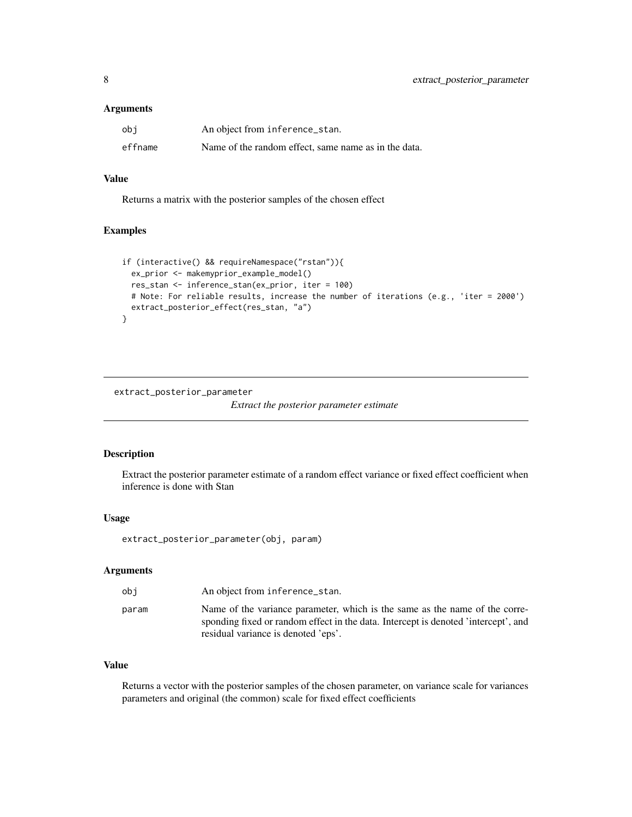#### <span id="page-7-0"></span>Arguments

| obi     | An object from inference_stan.                       |
|---------|------------------------------------------------------|
| effname | Name of the random effect, same name as in the data. |

# Value

Returns a matrix with the posterior samples of the chosen effect

#### Examples

```
if (interactive() && requireNamespace("rstan")){
  ex_prior <- makemyprior_example_model()
  res_stan <- inference_stan(ex_prior, iter = 100)
  # Note: For reliable results, increase the number of iterations (e.g., 'iter = 2000')
  extract_posterior_effect(res_stan, "a")
}
```
<span id="page-7-1"></span>extract\_posterior\_parameter

*Extract the posterior parameter estimate*

#### Description

Extract the posterior parameter estimate of a random effect variance or fixed effect coefficient when inference is done with Stan

# Usage

extract\_posterior\_parameter(obj, param)

#### Arguments

| obi   | An object from inference_stan.                                                                                                                                                                           |
|-------|----------------------------------------------------------------------------------------------------------------------------------------------------------------------------------------------------------|
| param | Name of the variance parameter, which is the same as the name of the corre-<br>sponding fixed or random effect in the data. Intercept is denoted 'intercept', and<br>residual variance is denoted 'eps'. |

# Value

Returns a vector with the posterior samples of the chosen parameter, on variance scale for variances parameters and original (the common) scale for fixed effect coefficients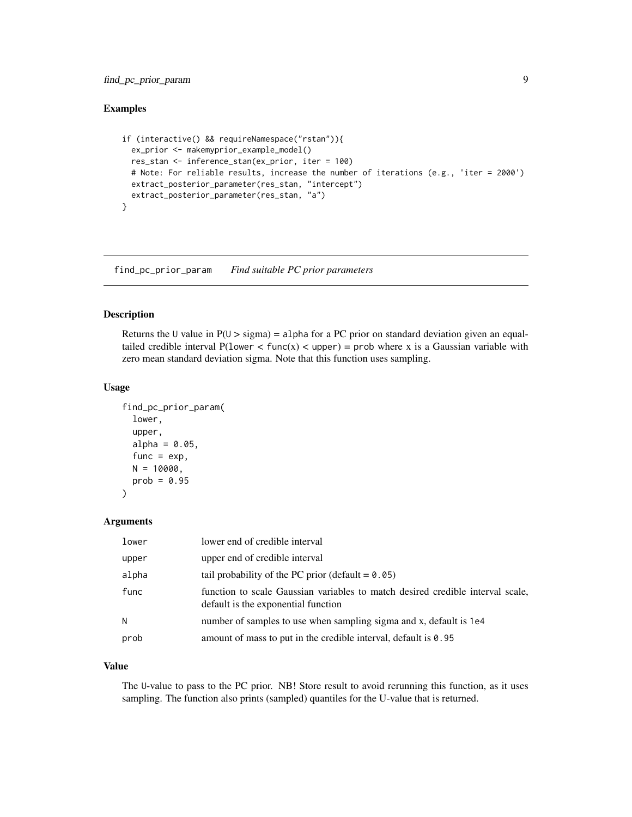# <span id="page-8-0"></span>find\_pc\_prior\_param 9

# Examples

```
if (interactive() && requireNamespace("rstan")){
 ex_prior <- makemyprior_example_model()
 res_stan <- inference_stan(ex_prior, iter = 100)
 # Note: For reliable results, increase the number of iterations (e.g., 'iter = 2000')
 extract_posterior_parameter(res_stan, "intercept")
 extract_posterior_parameter(res_stan, "a")
}
```
find\_pc\_prior\_param *Find suitable PC prior parameters*

# Description

Returns the U value in  $P(U > sigma) = alpha$  for a PC prior on standard deviation given an equaltailed credible interval  $P(\text{lower} < \text{func}(x) < \text{upper}) = \text{prob}$  where x is a Gaussian variable with zero mean standard deviation sigma. Note that this function uses sampling.

#### Usage

```
find_pc_prior_param(
  lower,
  upper,
  alpha = 0.05,
  func = exp,
 N = 10000,
 prob = 0.95)
```
# Arguments

| lower | lower end of credible interval                                                                                        |
|-------|-----------------------------------------------------------------------------------------------------------------------|
| upper | upper end of credible interval                                                                                        |
| alpha | tail probability of the PC prior (default $= 0.05$ )                                                                  |
| func  | function to scale Gaussian variables to match desired credible interval scale,<br>default is the exponential function |
| N     | number of samples to use when sampling sigma and x, default is 1e4                                                    |
| prob  | amount of mass to put in the credible interval, default is $0.95$                                                     |
|       |                                                                                                                       |

# Value

The U-value to pass to the PC prior. NB! Store result to avoid rerunning this function, as it uses sampling. The function also prints (sampled) quantiles for the U-value that is returned.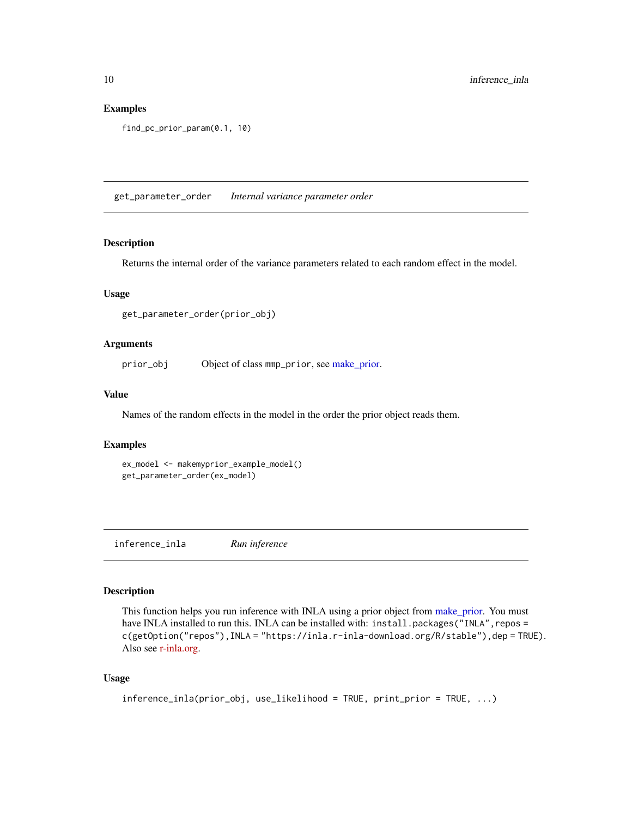#### Examples

```
find_pc_prior_param(0.1, 10)
```
<span id="page-9-1"></span>get\_parameter\_order *Internal variance parameter order*

# Description

Returns the internal order of the variance parameters related to each random effect in the model.

#### Usage

```
get_parameter_order(prior_obj)
```
#### Arguments

prior\_obj Object of class mmp\_prior, see [make\\_prior.](#page-18-1)

#### Value

Names of the random effects in the model in the order the prior object reads them.

#### Examples

```
ex_model <- makemyprior_example_model()
get_parameter_order(ex_model)
```
<span id="page-9-2"></span>inference\_inla *Run inference*

#### Description

This function helps you run inference with INLA using a prior object from [make\\_prior.](#page-18-1) You must have INLA installed to run this. INLA can be installed with: install.packages("INLA", repos = c(getOption("repos"),INLA = "https://inla.r-inla-download.org/R/stable"),dep = TRUE). Also see [r-inla.org.](https://www.r-inla.org/)

#### Usage

```
inference_inla(prior_obj, use_likelihood = TRUE, print_prior = TRUE, ...)
```
<span id="page-9-0"></span>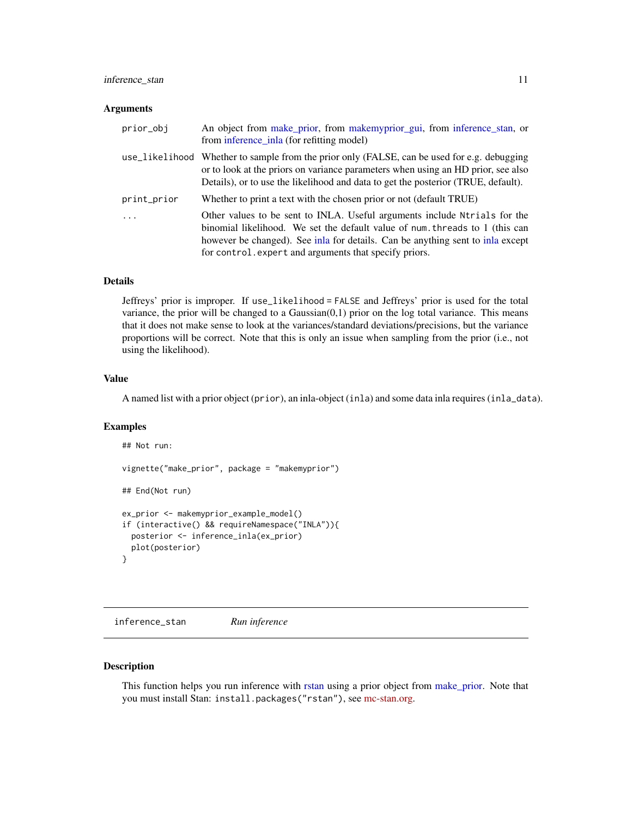# <span id="page-10-0"></span>inference\_stan 11

#### **Arguments**

| prior_obj   | An object from make_prior, from makemyprior_gui, from inference_stan, or<br>from inference_inla (for refitting model)                                                                                                                                                                                |
|-------------|------------------------------------------------------------------------------------------------------------------------------------------------------------------------------------------------------------------------------------------------------------------------------------------------------|
|             | use_likelihood Whether to sample from the prior only (FALSE, can be used for e.g. debugging<br>or to look at the priors on variance parameters when using an HD prior, see also<br>Details), or to use the likelihood and data to get the posterior (TRUE, default).                                 |
| print_prior | Whether to print a text with the chosen prior or not (default TRUE)                                                                                                                                                                                                                                  |
|             | Other values to be sent to INLA. Useful arguments include Ntrials for the<br>binomial likelihood. We set the default value of num threads to 1 (this can<br>however be changed). See inla for details. Can be anything sent to inla except<br>for control. expert and arguments that specify priors. |

# Details

Jeffreys' prior is improper. If use\_likelihood = FALSE and Jeffreys' prior is used for the total variance, the prior will be changed to a Gaussian $(0,1)$  prior on the log total variance. This means that it does not make sense to look at the variances/standard deviations/precisions, but the variance proportions will be correct. Note that this is only an issue when sampling from the prior (i.e., not using the likelihood).

# Value

A named list with a prior object (prior), an inla-object (inla) and some data inla requires (inla\_data).

#### Examples

```
## Not run:
vignette("make_prior", package = "makemyprior")
## End(Not run)
ex_prior <- makemyprior_example_model()
if (interactive() && requireNamespace("INLA")){
 posterior <- inference_inla(ex_prior)
 plot(posterior)
}
```
<span id="page-10-1"></span>inference\_stan *Run inference*

#### Description

This function helps you run inference with [rstan](#page-0-0) using a prior object from [make\\_prior.](#page-18-1) Note that you must install Stan: install.packages("rstan"), see [mc-stan.org.](https://mc-stan.org/)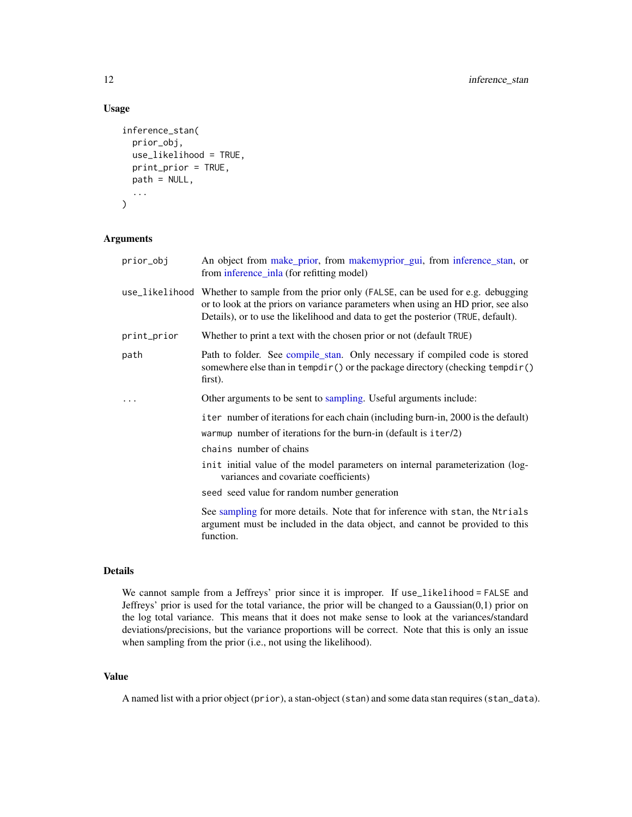# Usage

```
inference_stan(
  prior_obj,
  use_likelihood = TRUE,
  print_prior = TRUE,
  path = NULL,
  ...
\mathcal{L}
```
# Arguments

| prior_obj   | An object from make_prior, from makemyprior_gui, from inference_stan, or<br>from inference_inla (for refitting model)                                                                                                                                                |
|-------------|----------------------------------------------------------------------------------------------------------------------------------------------------------------------------------------------------------------------------------------------------------------------|
|             | use_likelihood Whether to sample from the prior only (FALSE, can be used for e.g. debugging<br>or to look at the priors on variance parameters when using an HD prior, see also<br>Details), or to use the likelihood and data to get the posterior (TRUE, default). |
| print_prior | Whether to print a text with the chosen prior or not (default TRUE)                                                                                                                                                                                                  |
| path        | Path to folder. See compile_stan. Only necessary if compiled code is stored<br>somewhere else than in tempdir() or the package directory (checking tempdir()<br>first).                                                                                              |
|             | Other arguments to be sent to sampling. Useful arguments include:                                                                                                                                                                                                    |
|             | iter number of iterations for each chain (including burn-in, 2000 is the default)<br>warmup number of iterations for the burn-in (default is $iter/2$ )<br>chains number of chains                                                                                   |
|             | initial value of the model parameters on internal parameterization (log-<br>variances and covariate coefficients)                                                                                                                                                    |
|             | seed seed value for random number generation                                                                                                                                                                                                                         |
|             | See sampling for more details. Note that for inference with stan, the Ntrials<br>argument must be included in the data object, and cannot be provided to this<br>function.                                                                                           |

# Details

We cannot sample from a Jeffreys' prior since it is improper. If use\_likelihood = FALSE and Jeffreys' prior is used for the total variance, the prior will be changed to a Gaussian(0,1) prior on the log total variance. This means that it does not make sense to look at the variances/standard deviations/precisions, but the variance proportions will be correct. Note that this is only an issue when sampling from the prior (i.e., not using the likelihood).

# Value

A named list with a prior object (prior), a stan-object (stan) and some data stan requires (stan\_data).

<span id="page-11-0"></span>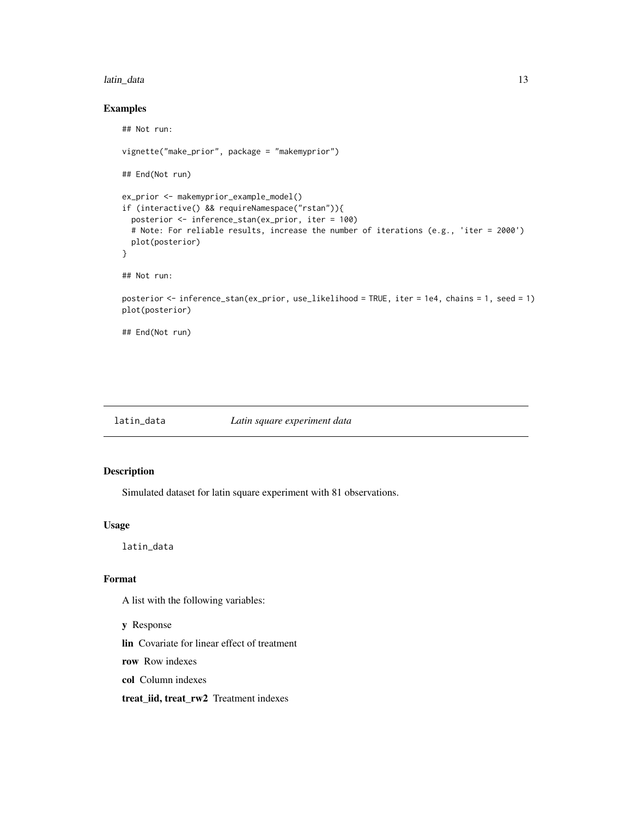#### <span id="page-12-0"></span>latin\_data 13

# Examples

```
## Not run:
vignette("make_prior", package = "makemyprior")
## End(Not run)
ex_prior <- makemyprior_example_model()
if (interactive() && requireNamespace("rstan")){
  posterior <- inference_stan(ex_prior, iter = 100)
  # Note: For reliable results, increase the number of iterations (e.g., 'iter = 2000')
  plot(posterior)
}
## Not run:
posterior <- inference_stan(ex_prior, use_likelihood = TRUE, iter = 1e4, chains = 1, seed = 1)
plot(posterior)
## End(Not run)
```
# Description

Simulated dataset for latin square experiment with 81 observations.

#### Usage

latin\_data

# Format

A list with the following variables:

y Response

lin Covariate for linear effect of treatment

row Row indexes

col Column indexes

treat\_iid, treat\_rw2 Treatment indexes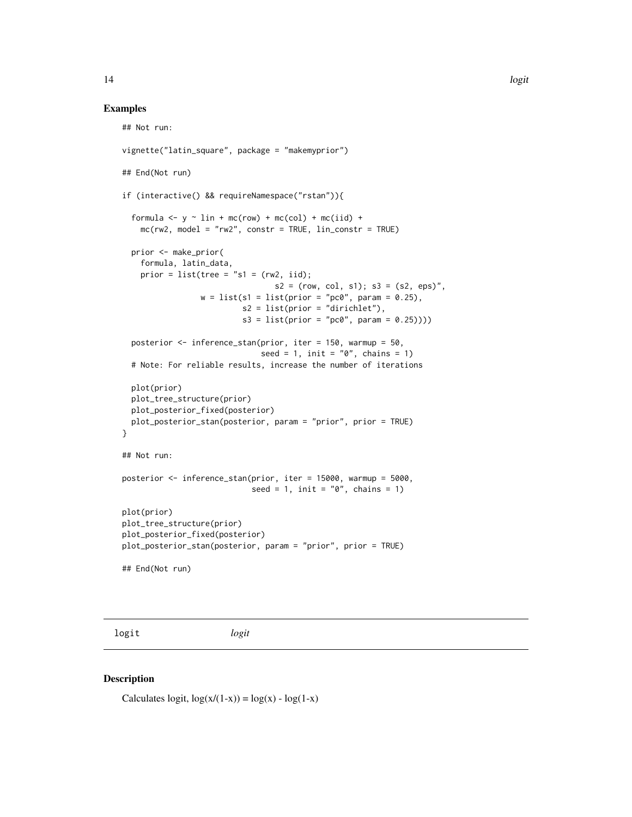#### Examples

```
## Not run:
vignette("latin_square", package = "makemyprior")
## End(Not run)
if (interactive() && requireNamespace("rstan")){
  formula \leq y \sim lin + mc(row) + mc(col) + mc(iid) +
   mc(rw2, model = "rw2", constr = TRUE, lin\_constr = TRUE)prior <- make_prior(
    formula, latin_data,
    prior = list(tree = "s1 = (rw2, iid);s2 = (row, col, s1); s3 = (s2, eps)",
                 w = list(s1 = list(prior = "pc0", param = 0.25),s2 = list(prior = "dirichlet"),
                          s3 = list(prior = "pc0", param = 0.25))))posterior <- inference_stan(prior, iter = 150, warmup = 50,
                              seed = 1, init = "0", chains = 1)
  # Note: For reliable results, increase the number of iterations
  plot(prior)
  plot_tree_structure(prior)
  plot_posterior_fixed(posterior)
  plot_posterior_stan(posterior, param = "prior", prior = TRUE)
}
## Not run:
posterior <- inference_stan(prior, iter = 15000, warmup = 5000,
                            seed = 1, init = "0", chains = 1)
plot(prior)
plot_tree_structure(prior)
plot_posterior_fixed(posterior)
plot_posterior_stan(posterior, param = "prior", prior = TRUE)
## End(Not run)
```
logit *logit*

#### Description

Calculates logit,  $log(x/(1-x)) = log(x) - log(1-x)$ 

<span id="page-13-0"></span>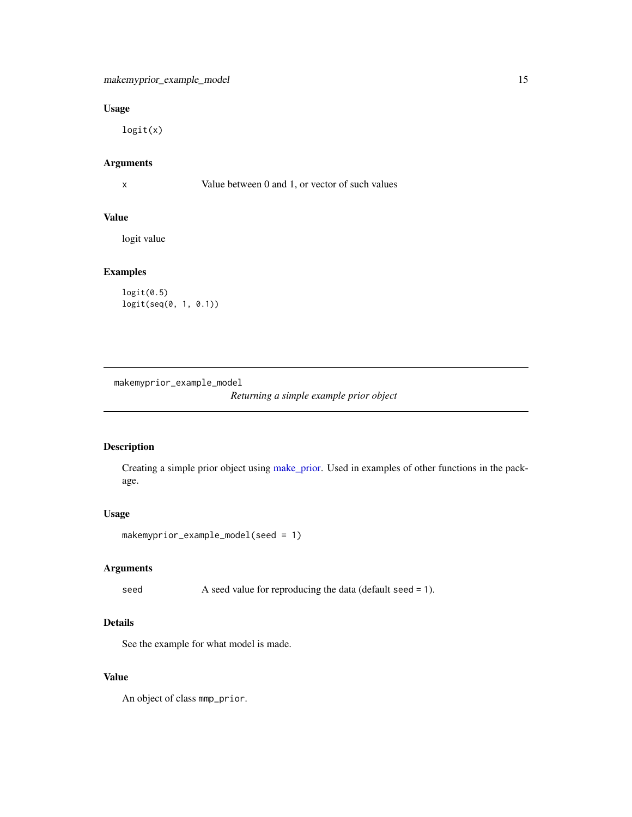# <span id="page-14-0"></span>Usage

logit(x)

#### Arguments

x Value between 0 and 1, or vector of such values

# Value

logit value

# Examples

logit(0.5) logit(seq(0, 1, 0.1))

makemyprior\_example\_model

*Returning a simple example prior object*

# Description

Creating a simple prior object using [make\\_prior.](#page-18-1) Used in examples of other functions in the package.

# Usage

```
makemyprior_example_model(seed = 1)
```
# Arguments

seed A seed value for reproducing the data (default seed = 1).

# Details

See the example for what model is made.

# Value

An object of class mmp\_prior.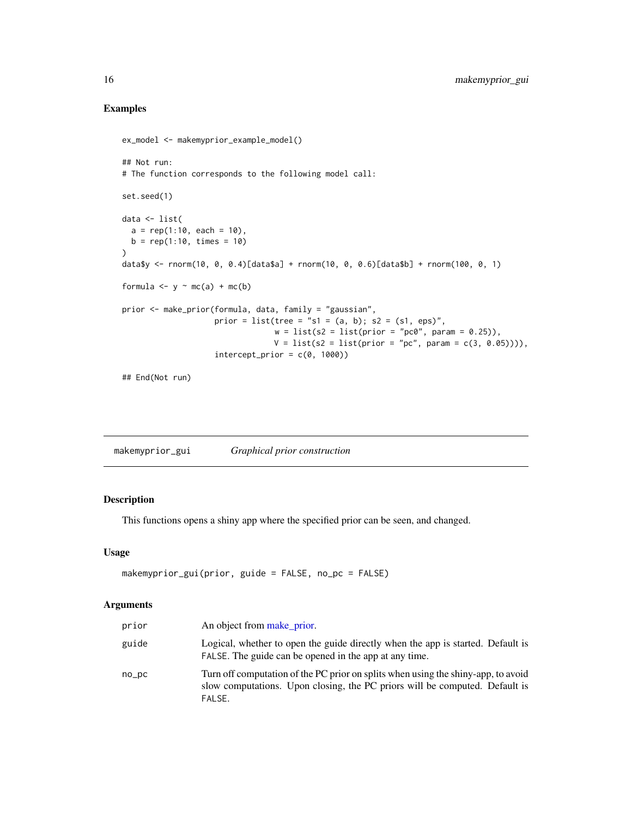# Examples

```
ex_model <- makemyprior_example_model()
## Not run:
# The function corresponds to the following model call:
set.seed(1)
data <- list(
 a = rep(1:10, each = 10),b = rep(1:10, times = 10)\mathcal{L}data$y <- rnorm(10, 0, 0.4)[data$a] + rnorm(10, 0, 0.6)[data$b] + rnorm(100, 0, 1)
formula \leq y \sim mc(a) + mc(b)
prior <- make_prior(formula, data, family = "gaussian",
                    prior = list(tree = "s1 = (a, b); s2 = (s1, eps)",
                                  w = list(s2 = list(prior = "pc0", param = 0.25)),V = list(s2 = list(prior = "pc", param = c(3, 0.05)))),
                    intercept\_prior = c(0, 1000)
```
## End(Not run)

<span id="page-15-1"></span>

| makemyprior_gui |  | <i>Graphical prior construction</i> |
|-----------------|--|-------------------------------------|
|-----------------|--|-------------------------------------|

# Description

This functions opens a shiny app where the specified prior can be seen, and changed.

# Usage

```
makemyprior_gui(prior, guide = FALSE, no_pc = FALSE)
```
#### Arguments

| prior  | An object from make prior.                                                                                                                                                 |
|--------|----------------------------------------------------------------------------------------------------------------------------------------------------------------------------|
| guide  | Logical, whether to open the guide directly when the app is started. Default is<br>FALSE. The guide can be opened in the app at any time.                                  |
| $no_p$ | Turn off computation of the PC prior on splits when using the shiny-app, to avoid<br>slow computations. Upon closing, the PC priors will be computed. Default is<br>FALSE. |

<span id="page-15-0"></span>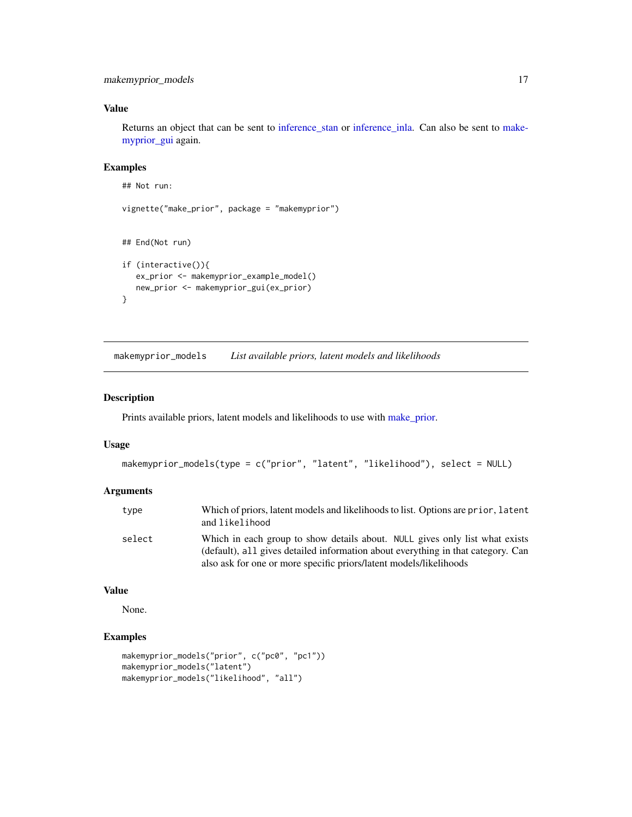# <span id="page-16-0"></span>Value

Returns an object that can be sent to [inference\\_stan](#page-10-1) or [inference\\_inla.](#page-9-2) Can also be sent to [make](#page-15-1)[myprior\\_gui](#page-15-1) again.

# Examples

```
## Not run:
vignette("make_prior", package = "makemyprior")
## End(Not run)
if (interactive()){
  ex_prior <- makemyprior_example_model()
  new_prior <- makemyprior_gui(ex_prior)
}
```
<span id="page-16-1"></span>makemyprior\_models *List available priors, latent models and likelihoods*

# Description

Prints available priors, latent models and likelihoods to use with [make\\_prior.](#page-18-1)

#### Usage

```
makemyprior_models(type = c("prior", "latent", "likelihood"), select = NULL)
```
# Arguments

| type   | Which of priors, latent models and likelihoods to list. Options are prior, latent<br>and likelihood                                                             |
|--------|-----------------------------------------------------------------------------------------------------------------------------------------------------------------|
| select | Which in each group to show details about. NULL gives only list what exists<br>(default), all gives detailed information about everything in that category. Can |
|        | also ask for one or more specific priors/latent models/likelihoods                                                                                              |

# Value

None.

# Examples

```
makemyprior_models("prior", c("pc0", "pc1"))
makemyprior_models("latent")
makemyprior_models("likelihood", "all")
```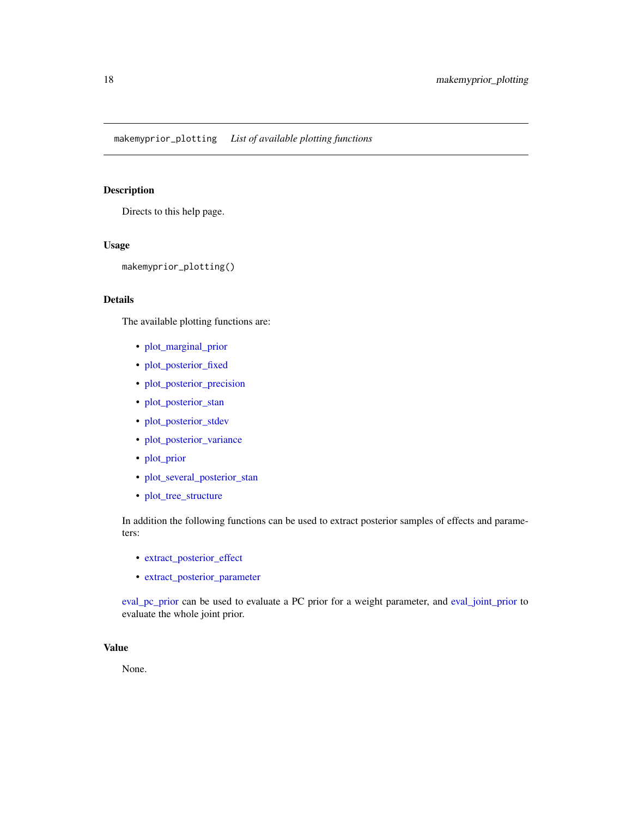# <span id="page-17-1"></span><span id="page-17-0"></span>Description

Directs to this help page.

# Usage

```
makemyprior_plotting()
```
# Details

The available plotting functions are:

- [plot\\_marginal\\_prior](#page-23-1)
- [plot\\_posterior\\_fixed](#page-24-1)
- [plot\\_posterior\\_precision](#page-26-1)
- [plot\\_posterior\\_stan](#page-25-1)
- [plot\\_posterior\\_stdev](#page-26-1)
- [plot\\_posterior\\_variance](#page-26-2)
- [plot\\_prior](#page-27-1)
- [plot\\_several\\_posterior\\_stan](#page-27-2)
- [plot\\_tree\\_structure](#page-28-1)

In addition the following functions can be used to extract posterior samples of effects and parameters:

- [extract\\_posterior\\_effect](#page-6-1)
- [extract\\_posterior\\_parameter](#page-7-1)

[eval\\_pc\\_prior](#page-5-1) can be used to evaluate a PC prior for a weight parameter, and [eval\\_joint\\_prior](#page-3-2) to evaluate the whole joint prior.

# Value

None.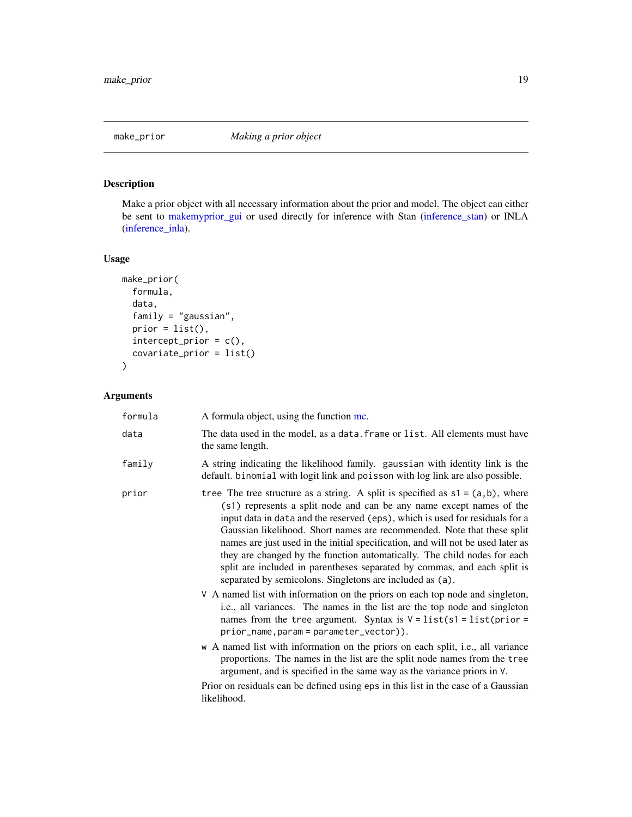<span id="page-18-1"></span><span id="page-18-0"></span>

# Description

Make a prior object with all necessary information about the prior and model. The object can either be sent to [makemyprior\\_gui](#page-15-1) or used directly for inference with Stan [\(inference\\_stan\)](#page-10-1) or INLA [\(inference\\_inla\)](#page-9-2).

# Usage

```
make_prior(
  formula,
  data,
  family = "gaussian",
 prior = list(),intercept_prior = c(),
  covariate_prior = list()
)
```
# Arguments

| formula | A formula object, using the function mc.                                                                                                                                                                                                                                                                                                                                                                                                                                                                                                                                                                                     |
|---------|------------------------------------------------------------------------------------------------------------------------------------------------------------------------------------------------------------------------------------------------------------------------------------------------------------------------------------------------------------------------------------------------------------------------------------------------------------------------------------------------------------------------------------------------------------------------------------------------------------------------------|
| data    | The data used in the model, as a data. frame or list. All elements must have<br>the same length.                                                                                                                                                                                                                                                                                                                                                                                                                                                                                                                             |
| family  | A string indicating the likelihood family. gaussian with identity link is the<br>default. binomial with logit link and poisson with log link are also possible.                                                                                                                                                                                                                                                                                                                                                                                                                                                              |
| prior   | tree The tree structure as a string. A split is specified as $s1 = (a, b)$ , where<br>(s1) represents a split node and can be any name except names of the<br>input data in data and the reserved (eps), which is used for residuals for a<br>Gaussian likelihood. Short names are recommended. Note that these split<br>names are just used in the initial specification, and will not be used later as<br>they are changed by the function automatically. The child nodes for each<br>split are included in parentheses separated by commas, and each split is<br>separated by semicolons. Singletons are included as (a). |
|         | V A named list with information on the priors on each top node and singleton,<br>i.e., all variances. The names in the list are the top node and singleton<br>names from the tree argument. Syntax is $V = list(s1 = list(prior =$<br>$prior_name, param = parameter_vector).$                                                                                                                                                                                                                                                                                                                                               |
|         | w A named list with information on the priors on each split, i.e., all variance<br>proportions. The names in the list are the split node names from the tree<br>argument, and is specified in the same way as the variance priors in V.                                                                                                                                                                                                                                                                                                                                                                                      |
|         | Prior on residuals can be defined using eps in this list in the case of a Gaussian<br>likelihood.                                                                                                                                                                                                                                                                                                                                                                                                                                                                                                                            |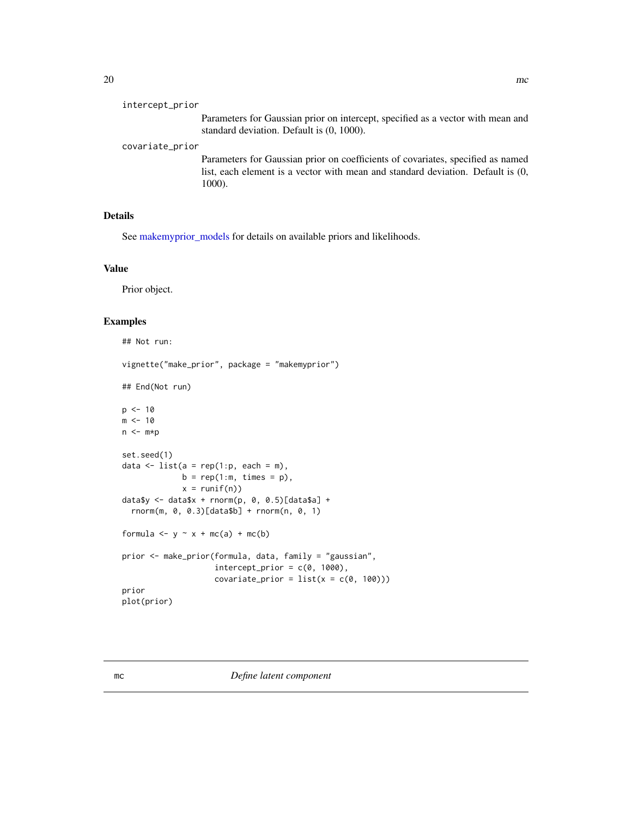<span id="page-19-0"></span>

| intercept_prior |                                                                                                                                                                              |
|-----------------|------------------------------------------------------------------------------------------------------------------------------------------------------------------------------|
|                 | Parameters for Gaussian prior on intercept, specified as a vector with mean and<br>standard deviation. Default is (0, 1000).                                                 |
| covariate_prior |                                                                                                                                                                              |
|                 | Parameters for Gaussian prior on coefficients of covariates, specified as named<br>list, each element is a vector with mean and standard deviation. Default is (0,<br>1000). |

# Details

See [makemyprior\\_models](#page-16-1) for details on available priors and likelihoods.

# Value

Prior object.

#### Examples

```
## Not run:
vignette("make_prior", package = "makemyprior")
## End(Not run)
p \le -10m \sim 10
n \leq -m*pset.seed(1)
data \le list(a = rep(1:p, each = m),
             b = rep(1:m, times = p),x = runif(n)data$y <- data$x + rnorm(p, 0, 0.5)[data$a] +
  rnorm(m, 0, 0.3)[data$b] + rnorm(n, 0, 1)
formula \leq -y \sim x + mc(a) + mc(b)prior <- make_prior(formula, data, family = "gaussian",
                    intercept\_prior = c(0, 1000),
                    covariate_prior = list(x = c(0, 100)))prior
plot(prior)
```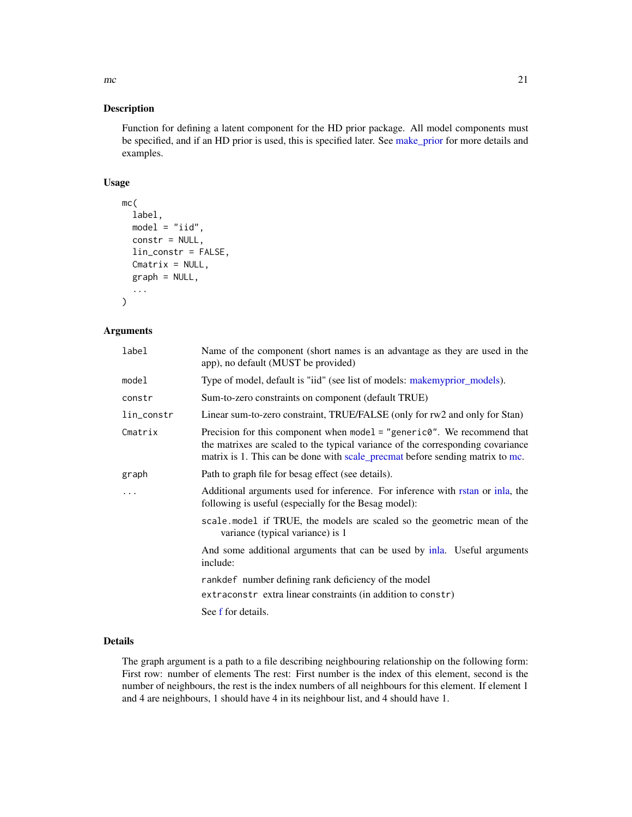<span id="page-20-0"></span> $\rm mc$  21

# Description

Function for defining a latent component for the HD prior package. All model components must be specified, and if an HD prior is used, this is specified later. See [make\\_prior](#page-18-1) for more details and examples.

# Usage

```
mc(
  label,
 model = "iid",constr = NULL,
  lin_constr = FALSE,
  Cmatrix = NULL,graph = NULL,...
)
```
# Arguments

| label      | Name of the component (short names is an advantage as they are used in the<br>app), no default (MUST be provided)                                                                                                                             |
|------------|-----------------------------------------------------------------------------------------------------------------------------------------------------------------------------------------------------------------------------------------------|
| model      | Type of model, default is "iid" (see list of models: makemyprior_models).                                                                                                                                                                     |
| constr     | Sum-to-zero constraints on component (default TRUE)                                                                                                                                                                                           |
| lin_constr | Linear sum-to-zero constraint, TRUE/FALSE (only for rw2 and only for Stan)                                                                                                                                                                    |
| Cmatrix    | Precision for this component when $model = "generic0".$ We recommend that<br>the matrixes are scaled to the typical variance of the corresponding covariance<br>matrix is 1. This can be done with scale_precmat before sending matrix to mc. |
| graph      | Path to graph file for besag effect (see details).                                                                                                                                                                                            |
| .          | Additional arguments used for inference. For inference with rstan or inla, the<br>following is useful (especially for the Besag model):                                                                                                       |
|            | scale model if TRUE, the models are scaled so the geometric mean of the<br>variance (typical variance) is 1                                                                                                                                   |
|            | And some additional arguments that can be used by inla. Useful arguments<br>include:                                                                                                                                                          |
|            | rankdef number defining rank deficiency of the model                                                                                                                                                                                          |
|            | extraconstr extra linear constraints (in addition to constr)                                                                                                                                                                                  |
|            | See f for details.                                                                                                                                                                                                                            |

# Details

The graph argument is a path to a file describing neighbouring relationship on the following form: First row: number of elements The rest: First number is the index of this element, second is the number of neighbours, the rest is the index numbers of all neighbours for this element. If element 1 and 4 are neighbours, 1 should have 4 in its neighbour list, and 4 should have 1.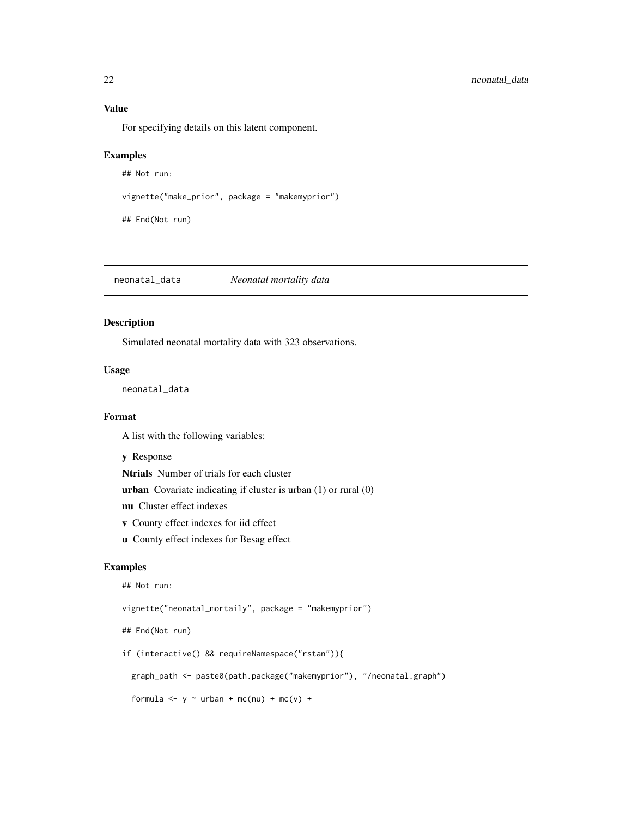For specifying details on this latent component.

# Examples

```
## Not run:
```

```
vignette("make_prior", package = "makemyprior")
```
## End(Not run)

neonatal\_data *Neonatal mortality data*

# Description

Simulated neonatal mortality data with 323 observations.

#### Usage

neonatal\_data

#### Format

A list with the following variables:

y Response

Ntrials Number of trials for each cluster

urban Covariate indicating if cluster is urban (1) or rural (0)

- nu Cluster effect indexes
- v County effect indexes for iid effect
- u County effect indexes for Besag effect

# Examples

```
## Not run:
```
vignette("neonatal\_mortaily", package = "makemyprior")

## End(Not run)

```
if (interactive() && requireNamespace("rstan")){
```

```
graph_path <- paste0(path.package("makemyprior"), "/neonatal.graph")
```

```
formula \leq - y \sim urban + mc(nu) + mc(v) +
```
<span id="page-21-0"></span>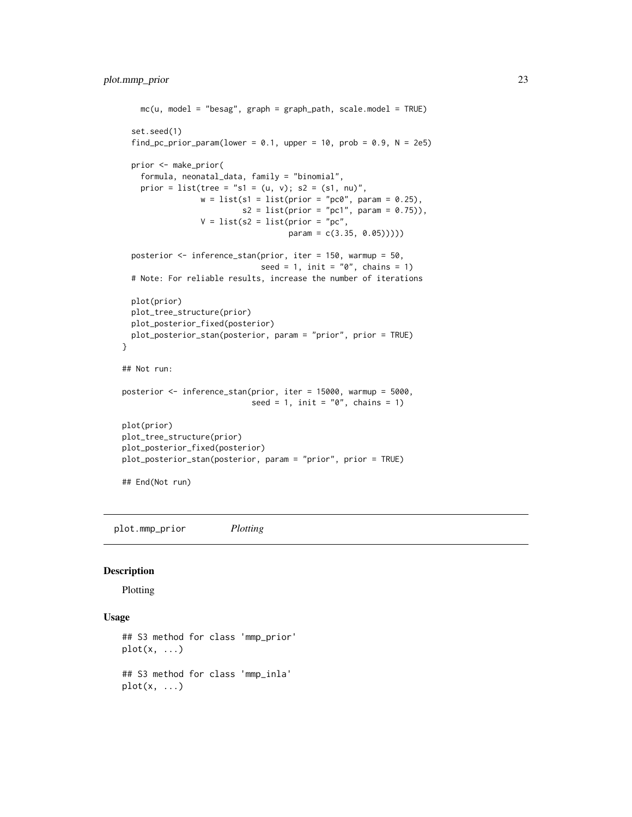```
mc(u, model = "besag", graph = graph_path, scale.model = TRUE)set.seed(1)
  find_pc_prior_param(lower = 0.1, upper = 10, prob = 0.9, N = 2e5)
  prior <- make_prior(
    formula, neonatal_data, family = "binomial",
    prior = list(tree = "s1 = (u, v); s2 = (s1, nu)",
                 w = list(s1 = list(prior = "pc0", param = 0.25),s2 = list(prior = "pc1", param = 0.75)),V = list(s2 = list(prior = "pc",param = c(3.35, 0.05)))))
  posterior <- inference_stan(prior, iter = 150, warmup = 50,
                              seed = 1, init = "0", chains = 1)
  # Note: For reliable results, increase the number of iterations
  plot(prior)
  plot_tree_structure(prior)
  plot_posterior_fixed(posterior)
  plot_posterior_stan(posterior, param = "prior", prior = TRUE)
}
## Not run:
posterior <- inference_stan(prior, iter = 15000, warmup = 5000,
                            seed = 1, init = "0", chains = 1)
plot(prior)
plot_tree_structure(prior)
plot_posterior_fixed(posterior)
plot_posterior_stan(posterior, param = "prior", prior = TRUE)
## End(Not run)
```
plot.mmp\_prior *Plotting*

#### Description

Plotting

#### Usage

```
## S3 method for class 'mmp_prior'
plot(x, \ldots)## S3 method for class 'mmp_inla'
plot(x, \ldots)
```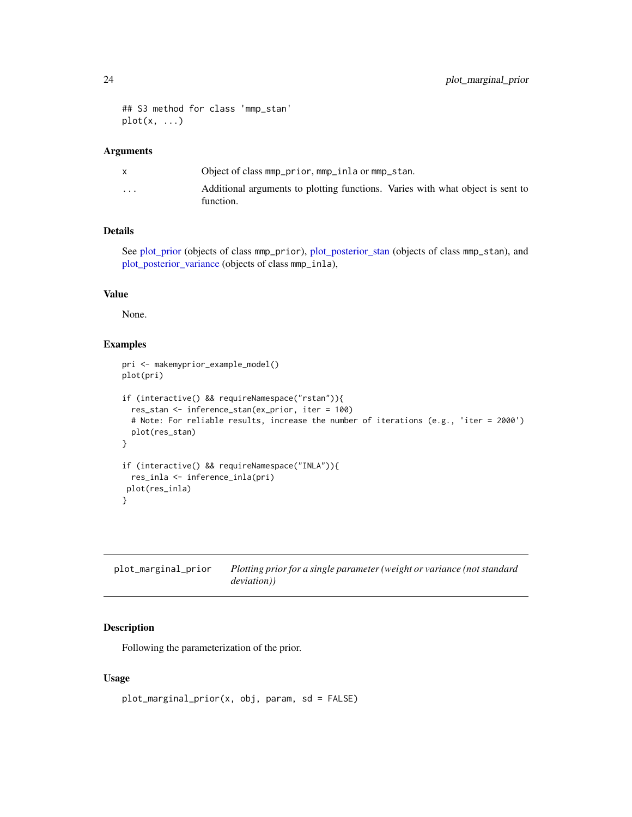# <span id="page-23-0"></span>24 plot\_marginal\_prior

```
## S3 method for class 'mmp_stan'
plot(x, \ldots)
```
# Arguments

|                         | Object of class mmp_prior, mmp_inla or mmp_stan.                                            |
|-------------------------|---------------------------------------------------------------------------------------------|
| $\cdot$ $\cdot$ $\cdot$ | Additional arguments to plotting functions. Varies with what object is sent to<br>function. |

# Details

See [plot\\_prior](#page-27-1) (objects of class mmp\_prior), [plot\\_posterior\\_stan](#page-25-1) (objects of class mmp\_stan), and [plot\\_posterior\\_variance](#page-26-2) (objects of class mmp\_inla),

#### Value

None.

# Examples

```
pri <- makemyprior_example_model()
plot(pri)
if (interactive() && requireNamespace("rstan")){
  res_stan <- inference_stan(ex_prior, iter = 100)
  # Note: For reliable results, increase the number of iterations (e.g., 'iter = 2000')
  plot(res_stan)
}
if (interactive() && requireNamespace("INLA")){
  res_inla <- inference_inla(pri)
 plot(res_inla)
}
```
<span id="page-23-1"></span>

| plot_marginal_prior | Plotting prior for a single parameter (weight or variance (not standard |
|---------------------|-------------------------------------------------------------------------|
|                     | <i>deviation</i> ))                                                     |

# Description

Following the parameterization of the prior.

# Usage

```
plot_marginal_prior(x, obj, param, sd = FALSE)
```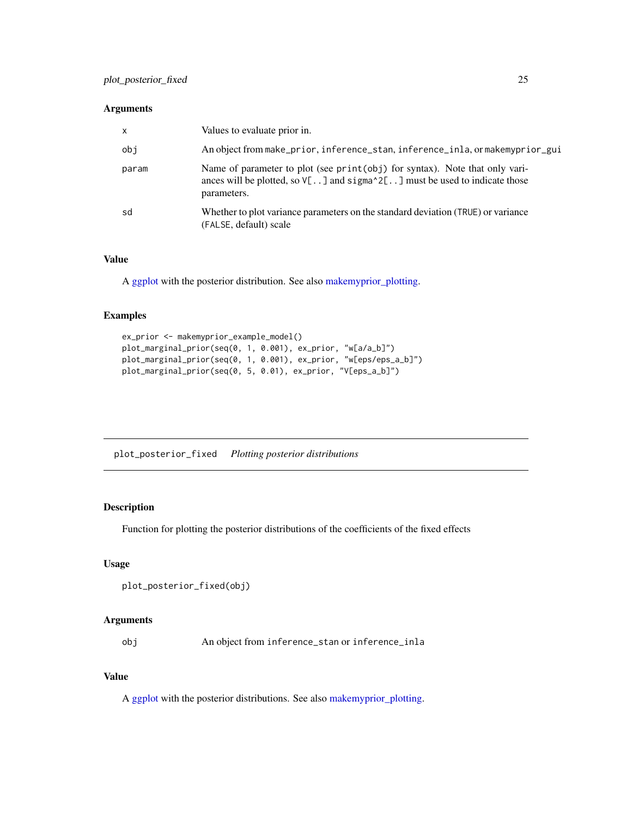# <span id="page-24-0"></span>Arguments

| $\mathsf{x}$ | Values to evaluate prior in.                                                                                                                                                               |
|--------------|--------------------------------------------------------------------------------------------------------------------------------------------------------------------------------------------|
| obi          | An object from make_prior, inference_stan, inference_inla, or makemyprior_gui                                                                                                              |
| param        | Name of parameter to plot (see print (obj) for syntax). Note that only vari-<br>ances will be plotted, so $V[\ldots]$ and sigma $^2[\ldots]$ must be used to indicate those<br>parameters. |
| sd           | Whether to plot variance parameters on the standard deviation (TRUE) or variance<br>(FALSE, default) scale                                                                                 |

#### Value

A [ggplot](#page-0-0) with the posterior distribution. See also [makemyprior\\_plotting.](#page-17-1)

#### Examples

```
ex_prior <- makemyprior_example_model()
plot_marginal_prior(seq(0, 1, 0.001), ex_prior, "w[a/a_b]")
plot_marginal_prior(seq(0, 1, 0.001), ex_prior, "w[eps/eps_a_b]")
plot_marginal_prior(seq(0, 5, 0.01), ex_prior, "V[eps_a_b]")
```
<span id="page-24-1"></span>plot\_posterior\_fixed *Plotting posterior distributions*

# Description

Function for plotting the posterior distributions of the coefficients of the fixed effects

#### Usage

```
plot_posterior_fixed(obj)
```
#### Arguments

obj An object from inference\_stan or inference\_inla

# Value

A [ggplot](#page-0-0) with the posterior distributions. See also [makemyprior\\_plotting.](#page-17-1)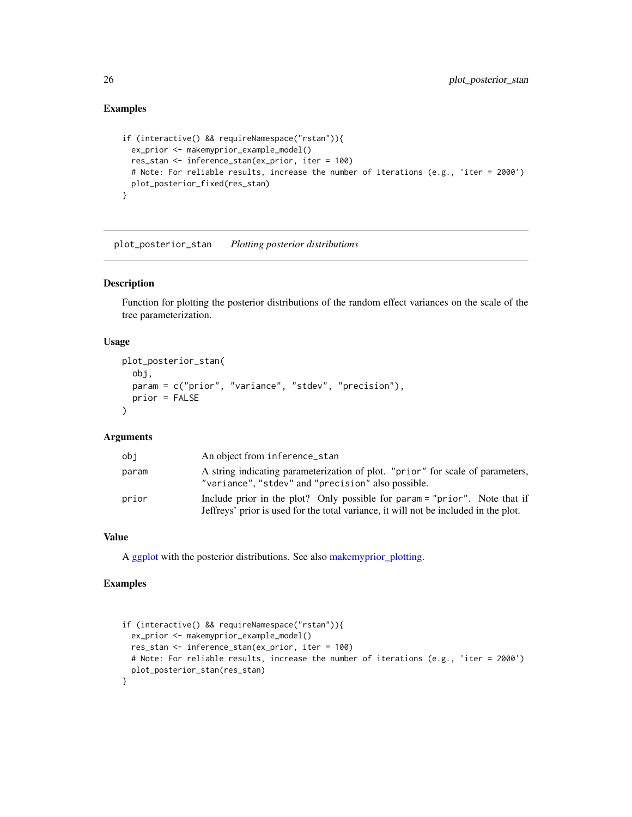#### Examples

```
if (interactive() && requireNamespace("rstan")){
 ex_prior <- makemyprior_example_model()
 res_stan <- inference_stan(ex_prior, iter = 100)
 # Note: For reliable results, increase the number of iterations (e.g., 'iter = 2000')
 plot_posterior_fixed(res_stan)
}
```
<span id="page-25-1"></span>plot\_posterior\_stan *Plotting posterior distributions*

# Description

Function for plotting the posterior distributions of the random effect variances on the scale of the tree parameterization.

#### Usage

```
plot_posterior_stan(
  obj,
  param = c("prior", "variance", "stdev", "precision"),
 prior = FALSE
)
```
# Arguments

| obi   | An object from inference_stan                                                                                                                                      |
|-------|--------------------------------------------------------------------------------------------------------------------------------------------------------------------|
| param | A string indicating parameterization of plot. "prior" for scale of parameters,<br>"variance", "stdev" and "precision" also possible.                               |
| prior | Include prior in the plot? Only possible for param = "prior". Note that if<br>Jeffreys' prior is used for the total variance, it will not be included in the plot. |

#### Value

A [ggplot](#page-0-0) with the posterior distributions. See also [makemyprior\\_plotting.](#page-17-1)

#### Examples

```
if (interactive() && requireNamespace("rstan")){
 ex_prior <- makemyprior_example_model()
 res_stan <- inference_stan(ex_prior, iter = 100)
 # Note: For reliable results, increase the number of iterations (e.g., 'iter = 2000')
 plot_posterior_stan(res_stan)
}
```
<span id="page-25-0"></span>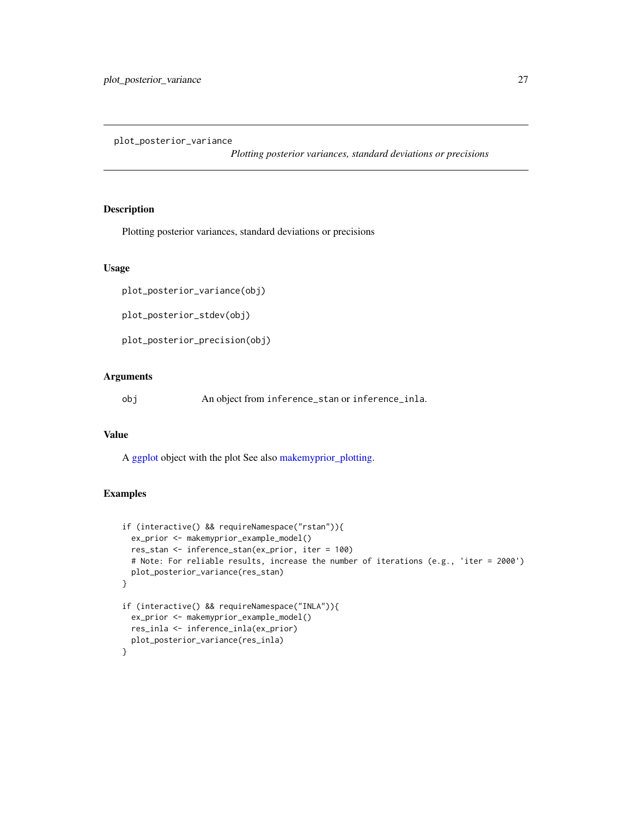<span id="page-26-2"></span><span id="page-26-0"></span>plot\_posterior\_variance

*Plotting posterior variances, standard deviations or precisions*

#### <span id="page-26-1"></span>Description

Plotting posterior variances, standard deviations or precisions

# Usage

plot\_posterior\_variance(obj)

plot\_posterior\_stdev(obj)

plot\_posterior\_precision(obj)

# Arguments

obj An object from inference\_stan or inference\_inla.

#### Value

A [ggplot](#page-0-0) object with the plot See also [makemyprior\\_plotting.](#page-17-1)

# Examples

```
if (interactive() && requireNamespace("rstan")){
  ex_prior <- makemyprior_example_model()
  res_stan <- inference_stan(ex_prior, iter = 100)
  # Note: For reliable results, increase the number of iterations (e.g., 'iter = 2000')
  plot_posterior_variance(res_stan)
}
if (interactive() && requireNamespace("INLA")){
  ex_prior <- makemyprior_example_model()
  res_inla <- inference_inla(ex_prior)
  plot_posterior_variance(res_inla)
}
```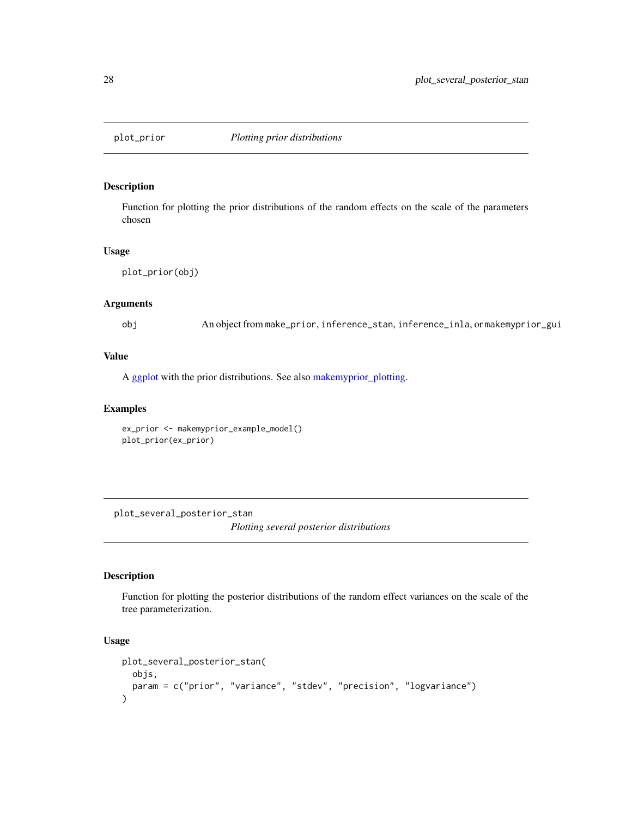<span id="page-27-1"></span><span id="page-27-0"></span>

# Description

Function for plotting the prior distributions of the random effects on the scale of the parameters chosen

# Usage

```
plot_prior(obj)
```
#### Arguments

obj An object from make\_prior, inference\_stan, inference\_inla, or makemyprior\_gui

#### Value

A [ggplot](#page-0-0) with the prior distributions. See also [makemyprior\\_plotting.](#page-17-1)

# Examples

```
ex_prior <- makemyprior_example_model()
plot_prior(ex_prior)
```
<span id="page-27-2"></span>plot\_several\_posterior\_stan *Plotting several posterior distributions*

# Description

Function for plotting the posterior distributions of the random effect variances on the scale of the tree parameterization.

# Usage

```
plot_several_posterior_stan(
  objs,
  param = c("prior", "variance", "stdev", "precision", "logvariance")
\mathcal{E}
```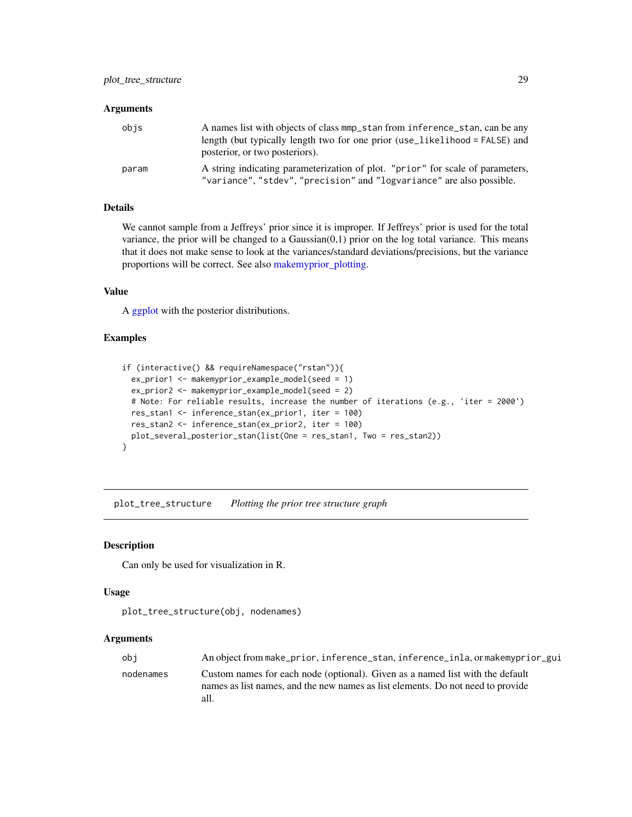#### <span id="page-28-0"></span>**Arguments**

| objs  | A names list with objects of class mmp_stan from inference_stan, can be any<br>length (but typically length two for one prior (use_likelihood = FALSE) and<br>posterior, or two posteriors). |  |
|-------|----------------------------------------------------------------------------------------------------------------------------------------------------------------------------------------------|--|
| param | A string indicating parameterization of plot. "prior" for scale of parameters,<br>"variance", "stdev", "precision" and "logvariance" are also possible.                                      |  |

# Details

We cannot sample from a Jeffreys' prior since it is improper. If Jeffreys' prior is used for the total variance, the prior will be changed to a Gaussian $(0,1)$  prior on the log total variance. This means that it does not make sense to look at the variances/standard deviations/precisions, but the variance proportions will be correct. See also [makemyprior\\_plotting.](#page-17-1)

# Value

A [ggplot](#page-0-0) with the posterior distributions.

#### Examples

```
if (interactive() && requireNamespace("rstan")){
 ex_prior1 <- makemyprior_example_model(seed = 1)
 ex_prior2 <- makemyprior_example_model(seed = 2)
 # Note: For reliable results, increase the number of iterations (e.g., 'iter = 2000')
 res_stan1 <- inference_stan(ex_prior1, iter = 100)
 res_stan2 <- inference_stan(ex_prior2, iter = 100)
 plot_several_posterior_stan(list(One = res_stan1, Two = res_stan2))
}
```
<span id="page-28-1"></span>plot\_tree\_structure *Plotting the prior tree structure graph*

#### Description

Can only be used for visualization in R.

#### Usage

```
plot_tree_structure(obj, nodenames)
```
#### Arguments

| obi       | An object from make_prior, inference_stan, inference_inla, or makemyprior_gui                                                                                            |  |
|-----------|--------------------------------------------------------------------------------------------------------------------------------------------------------------------------|--|
| nodenames | Custom names for each node (optional). Given as a named list with the default<br>names as list names, and the new names as list elements. Do not need to provide<br>all. |  |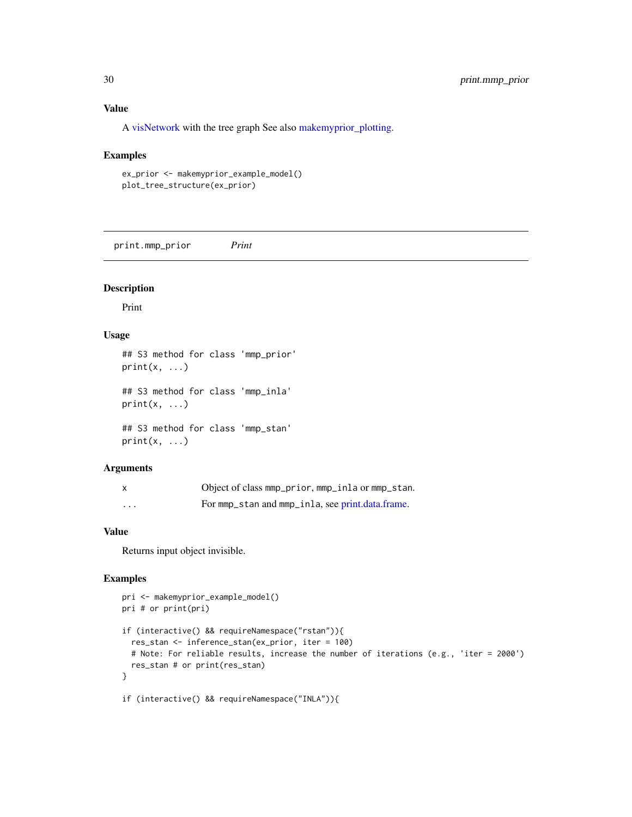# Value

A [visNetwork](#page-0-0) with the tree graph See also [makemyprior\\_plotting.](#page-17-1)

#### Examples

```
ex_prior <- makemyprior_example_model()
plot_tree_structure(ex_prior)
```
print.mmp\_prior *Print*

# Description

Print

# Usage

```
## S3 method for class 'mmp_prior'
print(x, \ldots)## S3 method for class 'mmp_inla'
print(x, \ldots)## S3 method for class 'mmp_stan'
```
 $print(x, \ldots)$ 

#### Arguments

| $\mathsf{x}$ | Object of class mmp_prior, mmp_inla or mmp_stan. |
|--------------|--------------------------------------------------|
| $\cdot$      | For mmp_stan and mmp_inla, see print.data.frame. |

#### Value

Returns input object invisible.

# Examples

```
pri <- makemyprior_example_model()
pri # or print(pri)
if (interactive() && requireNamespace("rstan")){
  res_stan <- inference_stan(ex_prior, iter = 100)
  # Note: For reliable results, increase the number of iterations (e.g., 'iter = 2000')
  res_stan # or print(res_stan)
}
if (interactive() && requireNamespace("INLA")){
```
<span id="page-29-0"></span>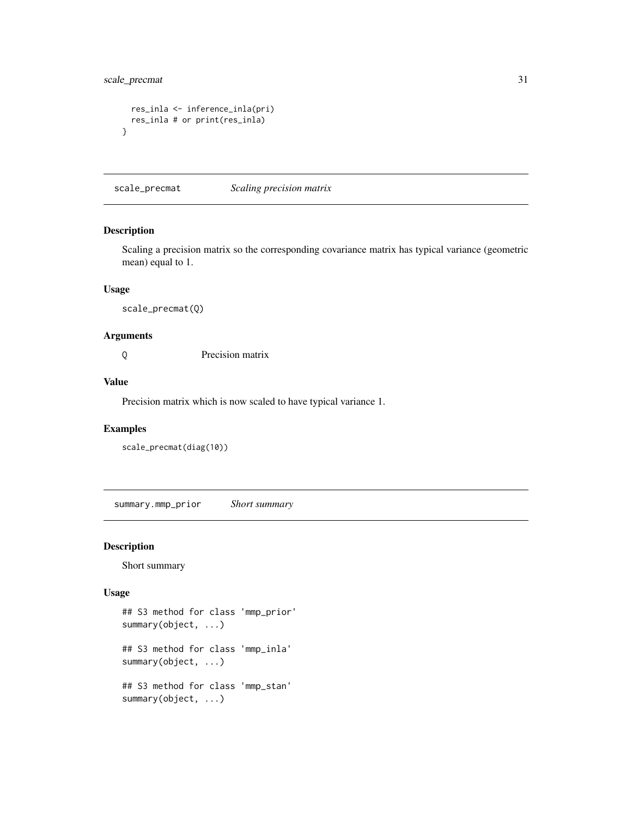```
res_inla <- inference_inla(pri)
 res_inla # or print(res_inla)
}
```
<span id="page-30-1"></span>scale\_precmat *Scaling precision matrix*

# Description

Scaling a precision matrix so the corresponding covariance matrix has typical variance (geometric mean) equal to 1.

# Usage

scale\_precmat(Q)

# Arguments

Q Precision matrix

# Value

Precision matrix which is now scaled to have typical variance 1.

# Examples

```
scale_precmat(diag(10))
```
summary.mmp\_prior *Short summary*

# Description

Short summary

# Usage

```
## S3 method for class 'mmp_prior'
summary(object, ...)
## S3 method for class 'mmp_inla'
summary(object, ...)
## S3 method for class 'mmp_stan'
summary(object, ...)
```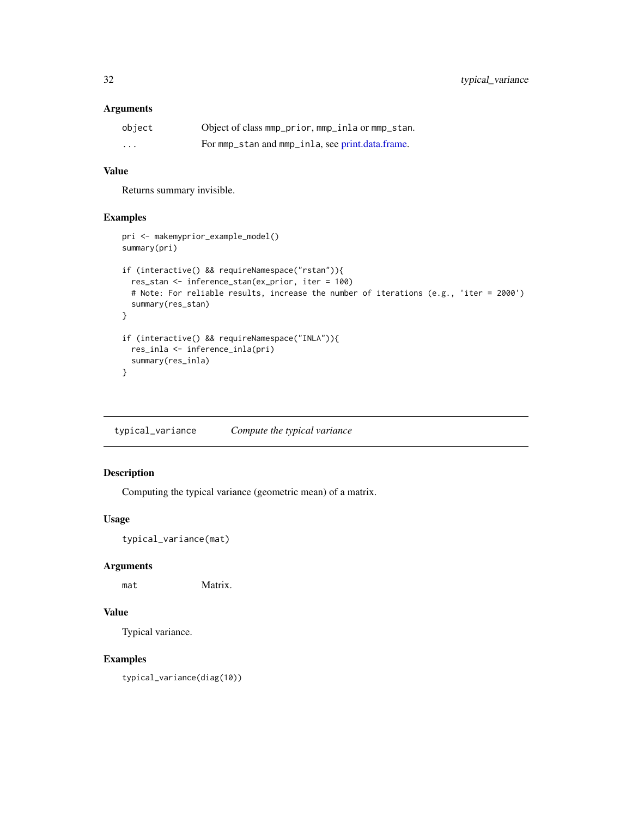# <span id="page-31-0"></span>Arguments

| object   | Object of class mmp_prior, mmp_inla or mmp_stan. |
|----------|--------------------------------------------------|
| $\cdots$ | For mmp_stan and mmp_inla, see print.data.frame. |

# Value

Returns summary invisible.

# Examples

```
pri <- makemyprior_example_model()
summary(pri)
if (interactive() && requireNamespace("rstan")){
  res_stan <- inference_stan(ex_prior, iter = 100)
  # Note: For reliable results, increase the number of iterations (e.g., 'iter = 2000')
  summary(res_stan)
}
if (interactive() && requireNamespace("INLA")){
  res_inla <- inference_inla(pri)
  summary(res_inla)
}
```
typical\_variance *Compute the typical variance*

# Description

Computing the typical variance (geometric mean) of a matrix.

#### Usage

typical\_variance(mat)

#### Arguments

mat Matrix.

# Value

Typical variance.

# Examples

typical\_variance(diag(10))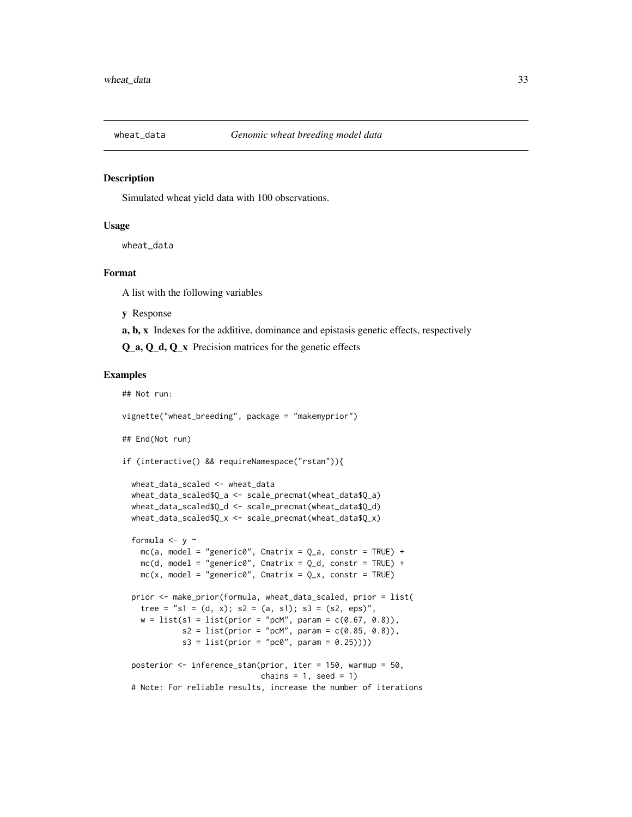<span id="page-32-0"></span>

#### **Description**

Simulated wheat yield data with 100 observations.

#### Usage

wheat\_data

# Format

A list with the following variables

y Response

a, b, x Indexes for the additive, dominance and epistasis genetic effects, respectively

Q\_a, Q\_d, Q\_x Precision matrices for the genetic effects

#### Examples

## Not run:

vignette("wheat\_breeding", package = "makemyprior")

## End(Not run)

```
if (interactive() && requireNamespace("rstan")){
```

```
wheat_data_scaled <- wheat_data
wheat_data_scaled$Q_a <- scale_precmat(wheat_data$Q_a)
wheat_data_scaled$Q_d <- scale_precmat(wheat_data$Q_d)
wheat_data_scaled$Q_x <- scale_precmat(wheat_data$Q_x)
```

```
formula \leftarrow y \simmc(a, model = "generic0", Cantrix = Q_a, constr = TRUE) +mc(d, model = "generic0", Cantrix = Q_d, constr = TRUE) +mc(x, model = "generic0", Cantrix = Q_x, constr = TRUE)prior <- make_prior(formula, wheat_data_scaled, prior = list(
  tree = "s1 = (d, x); s2 = (a, s1); s3 = (s2, eps)",
  w = list(s1 = list(prior = "pcM", param = c(0.67, 0.8)),s2 = list(prior = "pcM", param = c(0.85, 0.8)),s3 = list(prior = "pc0", param = 0.25))))posterior <- inference_stan(prior, iter = 150, warmup = 50,
                            chains = 1, seed = 1)
# Note: For reliable results, increase the number of iterations
```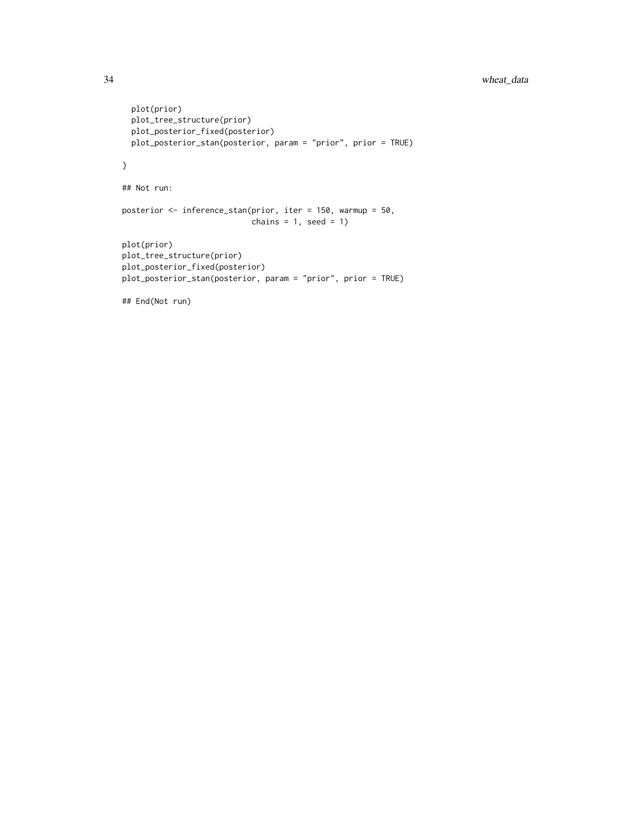```
plot(prior)
  plot_tree_structure(prior)
  plot_posterior_fixed(posterior)
  plot_posterior_stan(posterior, param = "prior", prior = TRUE)
}
## Not run:
posterior <- inference_stan(prior, iter = 150, warmup = 50,
                            chains = 1, seed = 1)
plot(prior)
plot_tree_structure(prior)
plot_posterior_fixed(posterior)
plot_posterior_stan(posterior, param = "prior", prior = TRUE)
## End(Not run)
```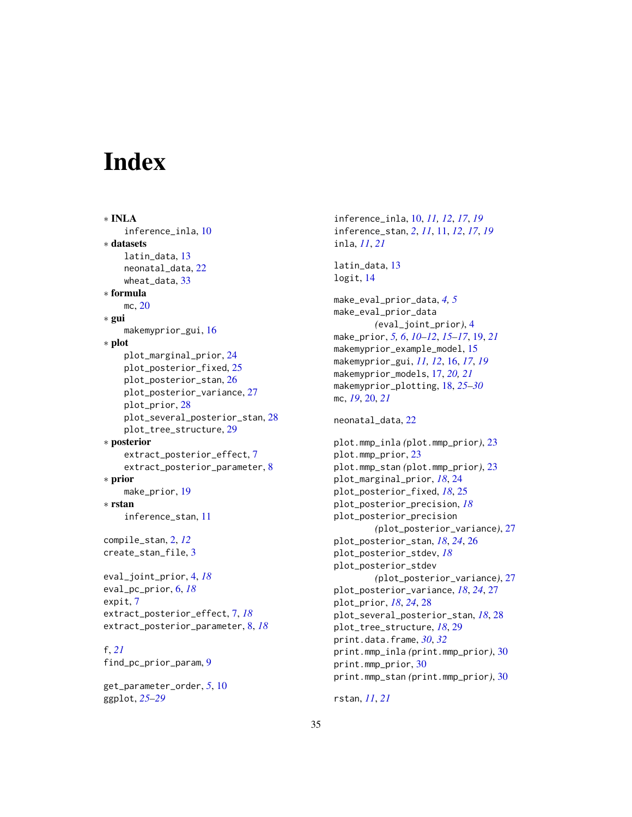# <span id="page-34-0"></span>**Index**

```
∗ INLA
    inference_inla, 10
∗ datasets
    latin_data, 13
    neonatal_data, 22
    wheat data, 33∗ formula
    mc, 20
∗ gui
    makemyprior_gui, 16
∗ plot
    plot_marginal_prior, 24
    plot_posterior_fixed, 25
    plot_posterior_stan, 26
    plot_posterior_variance, 27
    plot_prior, 28
    plot_several_posterior_stan, 28
    plot_tree_structure, 29
∗ posterior
    extract_posterior_effect, 7
    extract_posterior_parameter, 8
∗ prior
    make_prior, 19
∗ rstan
    inference_stan, 11
compile_stan, 2, 12
create_stan_file, 3
eval_joint_prior, 4, 18
eval_pc_prior, 6, 18
expit, 7
extract_posterior_effect, 7, 18
extract_posterior_parameter, 8, 18
f, 21
find_pc_prior_param, 9
```
get\_parameter\_order, *[5](#page-4-0)*, [10](#page-9-0) ggplot, *[25](#page-24-0)[–29](#page-28-0)*

inference\_inla, [10,](#page-9-0) *[11,](#page-10-0) [12](#page-11-0)*, *[17](#page-16-0)*, *[19](#page-18-0)* inference\_stan, *[2](#page-1-0)*, *[11](#page-10-0)*, [11,](#page-10-0) *[12](#page-11-0)*, *[17](#page-16-0)*, *[19](#page-18-0)* inla, *[11](#page-10-0)*, *[21](#page-20-0)* latin\_data, [13](#page-12-0) logit, [14](#page-13-0) make\_eval\_prior\_data, *[4,](#page-3-0) [5](#page-4-0)* make\_eval\_prior\_data *(*eval\_joint\_prior*)*, [4](#page-3-0) make\_prior, *[5,](#page-4-0) [6](#page-5-0)*, *[10](#page-9-0)[–12](#page-11-0)*, *[15](#page-14-0)[–17](#page-16-0)*, [19,](#page-18-0) *[21](#page-20-0)* makemyprior\_example\_model, [15](#page-14-0) makemyprior\_gui, *[11,](#page-10-0) [12](#page-11-0)*, [16,](#page-15-0) *[17](#page-16-0)*, *[19](#page-18-0)* makemyprior\_models, [17,](#page-16-0) *[20,](#page-19-0) [21](#page-20-0)* makemyprior\_plotting, [18,](#page-17-0) *[25](#page-24-0)[–30](#page-29-0)* mc, *[19](#page-18-0)*, [20,](#page-19-0) *[21](#page-20-0)* neonatal\_data, [22](#page-21-0) plot.mmp\_inla *(*plot.mmp\_prior*)*, [23](#page-22-0) plot.mmp\_prior, [23](#page-22-0) plot.mmp\_stan *(*plot.mmp\_prior*)*, [23](#page-22-0) plot\_marginal\_prior, *[18](#page-17-0)*, [24](#page-23-0) plot\_posterior\_fixed, *[18](#page-17-0)*, [25](#page-24-0) plot\_posterior\_precision, *[18](#page-17-0)* plot\_posterior\_precision *(*plot\_posterior\_variance*)*, [27](#page-26-0) plot\_posterior\_stan, *[18](#page-17-0)*, *[24](#page-23-0)*, [26](#page-25-0) plot\_posterior\_stdev, *[18](#page-17-0)* plot\_posterior\_stdev *(*plot\_posterior\_variance*)*, [27](#page-26-0) plot\_posterior\_variance, *[18](#page-17-0)*, *[24](#page-23-0)*, [27](#page-26-0) plot\_prior, *[18](#page-17-0)*, *[24](#page-23-0)*, [28](#page-27-0) plot\_several\_posterior\_stan, *[18](#page-17-0)*, [28](#page-27-0) plot\_tree\_structure, *[18](#page-17-0)*, [29](#page-28-0) print.data.frame, *[30](#page-29-0)*, *[32](#page-31-0)* print.mmp\_inla *(*print.mmp\_prior*)*, [30](#page-29-0) print.mmp\_prior, [30](#page-29-0) print.mmp\_stan *(*print.mmp\_prior*)*, [30](#page-29-0)

rstan, *[11](#page-10-0)*, *[21](#page-20-0)*